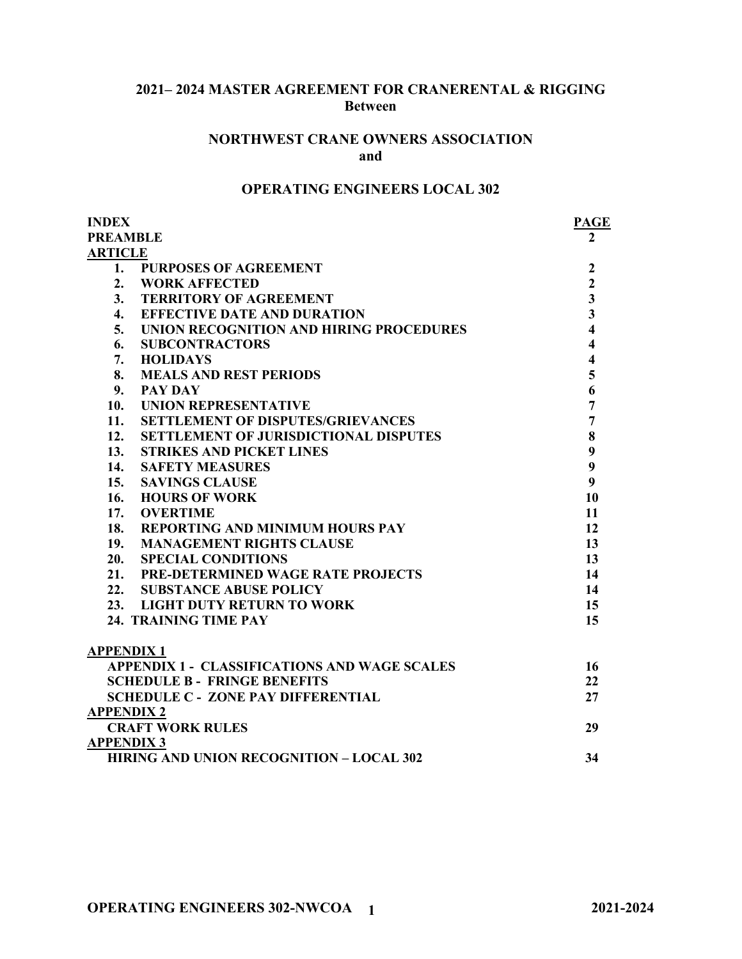## **2021– 2024 MASTER AGREEMENT FOR CRANERENTAL & RIGGING Between**

#### **NORTHWEST CRANE OWNERS ASSOCIATION and**

## **OPERATING ENGINEERS LOCAL 302**

| <b>INDEX</b>       |                                                     | <b>PAGE</b>             |
|--------------------|-----------------------------------------------------|-------------------------|
| <b>PREAMBLE</b>    | $\mathbf{2}$                                        |                         |
| <b>ARTICLE</b>     |                                                     |                         |
| 1.                 | <b>PURPOSES OF AGREEMENT</b>                        | $\boldsymbol{2}$        |
| 2.                 | <b>WORK AFFECTED</b>                                | $\overline{2}$          |
| 3.                 | <b>TERRITORY OF AGREEMENT</b>                       | $\overline{\mathbf{3}}$ |
| $\boldsymbol{4}$ . | <b>EFFECTIVE DATE AND DURATION</b>                  | $\overline{\mathbf{3}}$ |
| 5.                 | UNION RECOGNITION AND HIRING PROCEDURES             | $\overline{\mathbf{4}}$ |
| 6.                 | <b>SUBCONTRACTORS</b>                               | $\overline{\mathbf{4}}$ |
| 7.                 | <b>HOLIDAYS</b>                                     | $\overline{\mathbf{4}}$ |
| 8.                 | <b>MEALS AND REST PERIODS</b>                       | 5                       |
| 9.                 | <b>PAY DAY</b>                                      | 6                       |
| 10.                | <b>UNION REPRESENTATIVE</b>                         | $\overline{7}$          |
| 11.                | <b>SETTLEMENT OF DISPUTES/GRIEVANCES</b>            | $\overline{7}$          |
| 12.                | <b>SETTLEMENT OF JURISDICTIONAL DISPUTES</b>        | $\bf{8}$                |
| 13.                | <b>STRIKES AND PICKET LINES</b>                     | 9                       |
| 14.                | <b>SAFETY MEASURES</b>                              | 9                       |
| 15.                | <b>SAVINGS CLAUSE</b>                               | $\boldsymbol{9}$        |
| 16.                | <b>HOURS OF WORK</b>                                | 10                      |
| 17.                | <b>OVERTIME</b>                                     | 11                      |
| 18.                | <b>REPORTING AND MINIMUM HOURS PAY</b>              | 12                      |
| 19.                | <b>MANAGEMENT RIGHTS CLAUSE</b>                     | 13                      |
| 20.                | <b>SPECIAL CONDITIONS</b>                           | 13                      |
|                    | 21. PRE-DETERMINED WAGE RATE PROJECTS               | 14                      |
|                    | 22. SUBSTANCE ABUSE POLICY                          | 14                      |
|                    | 23. LIGHT DUTY RETURN TO WORK                       | 15                      |
|                    | 24. TRAINING TIME PAY                               | 15                      |
| <b>APPENDIX1</b>   |                                                     |                         |
|                    | <b>APPENDIX 1 - CLASSIFICATIONS AND WAGE SCALES</b> | 16                      |
|                    | <b>SCHEDULE B - FRINGE BENEFITS</b>                 | 22                      |
|                    | <b>SCHEDULE C - ZONE PAY DIFFERENTIAL</b>           | 27                      |
| <b>APPENDIX 2</b>  |                                                     |                         |
|                    | <b>CRAFT WORK RULES</b>                             | 29                      |
| <b>APPENDIX 3</b>  |                                                     |                         |
|                    | <b>HIRING AND UNION RECOGNITION - LOCAL 302</b>     | 34                      |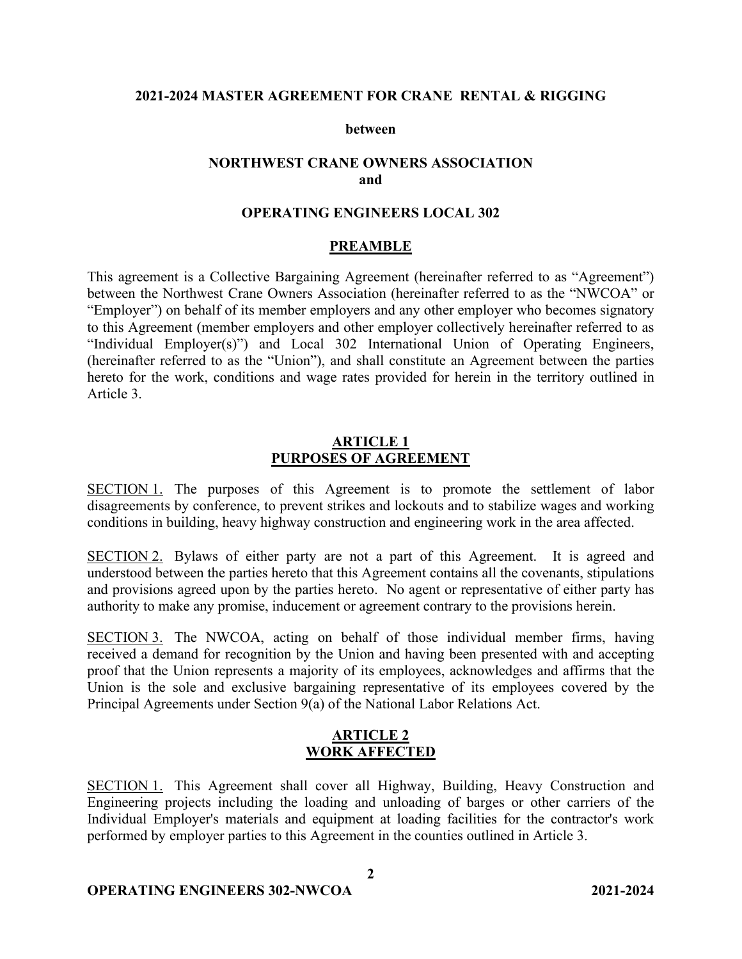### **2021-2024 MASTER AGREEMENT FOR CRANE RENTAL & RIGGING**

#### **between**

## **NORTHWEST CRANE OWNERS ASSOCIATION and**

### **OPERATING ENGINEERS LOCAL 302**

#### **PREAMBLE**

This agreement is a Collective Bargaining Agreement (hereinafter referred to as "Agreement") between the Northwest Crane Owners Association (hereinafter referred to as the "NWCOA" or "Employer") on behalf of its member employers and any other employer who becomes signatory to this Agreement (member employers and other employer collectively hereinafter referred to as "Individual Employer(s)") and Local 302 International Union of Operating Engineers, (hereinafter referred to as the "Union"), and shall constitute an Agreement between the parties hereto for the work, conditions and wage rates provided for herein in the territory outlined in Article 3.

#### **ARTICLE 1 PURPOSES OF AGREEMENT**

SECTION 1. The purposes of this Agreement is to promote the settlement of labor disagreements by conference, to prevent strikes and lockouts and to stabilize wages and working conditions in building, heavy highway construction and engineering work in the area affected.

SECTION 2. Bylaws of either party are not a part of this Agreement. It is agreed and understood between the parties hereto that this Agreement contains all the covenants, stipulations and provisions agreed upon by the parties hereto. No agent or representative of either party has authority to make any promise, inducement or agreement contrary to the provisions herein.

SECTION 3. The NWCOA, acting on behalf of those individual member firms, having received a demand for recognition by the Union and having been presented with and accepting proof that the Union represents a majority of its employees, acknowledges and affirms that the Union is the sole and exclusive bargaining representative of its employees covered by the Principal Agreements under Section 9(a) of the National Labor Relations Act.

#### **ARTICLE 2 WORK AFFECTED**

SECTION 1. This Agreement shall cover all Highway, Building, Heavy Construction and Engineering projects including the loading and unloading of barges or other carriers of the Individual Employer's materials and equipment at loading facilities for the contractor's work performed by employer parties to this Agreement in the counties outlined in Article 3.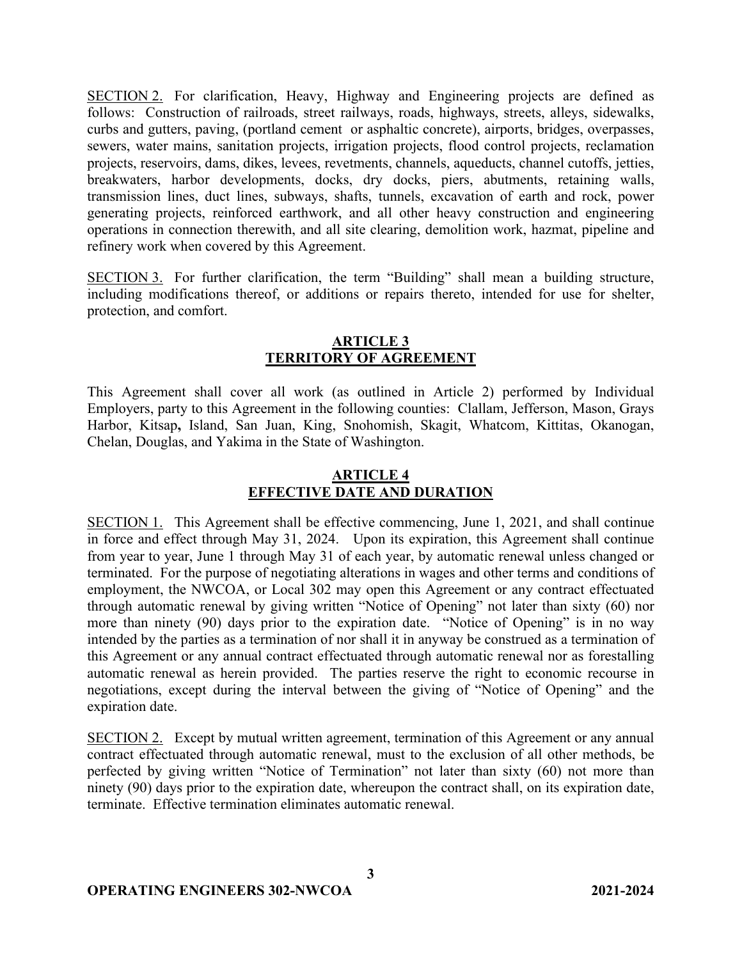SECTION 2. For clarification, Heavy, Highway and Engineering projects are defined as follows: Construction of railroads, street railways, roads, highways, streets, alleys, sidewalks, curbs and gutters, paving, (portland cement or asphaltic concrete), airports, bridges, overpasses, sewers, water mains, sanitation projects, irrigation projects, flood control projects, reclamation projects, reservoirs, dams, dikes, levees, revetments, channels, aqueducts, channel cutoffs, jetties, breakwaters, harbor developments, docks, dry docks, piers, abutments, retaining walls, transmission lines, duct lines, subways, shafts, tunnels, excavation of earth and rock, power generating projects, reinforced earthwork, and all other heavy construction and engineering operations in connection therewith, and all site clearing, demolition work, hazmat, pipeline and refinery work when covered by this Agreement.

SECTION 3. For further clarification, the term "Building" shall mean a building structure, including modifications thereof, or additions or repairs thereto, intended for use for shelter, protection, and comfort.

## **ARTICLE 3 TERRITORY OF AGREEMENT**

This Agreement shall cover all work (as outlined in Article 2) performed by Individual Employers, party to this Agreement in the following counties: Clallam, Jefferson, Mason, Grays Harbor, Kitsap**,** Island, San Juan, King, Snohomish, Skagit, Whatcom, Kittitas, Okanogan, Chelan, Douglas, and Yakima in the State of Washington.

# **ARTICLE 4 EFFECTIVE DATE AND DURATION**

SECTION 1. This Agreement shall be effective commencing, June 1, 2021, and shall continue in force and effect through May 31, 2024. Upon its expiration, this Agreement shall continue from year to year, June 1 through May 31 of each year, by automatic renewal unless changed or terminated. For the purpose of negotiating alterations in wages and other terms and conditions of employment, the NWCOA, or Local 302 may open this Agreement or any contract effectuated through automatic renewal by giving written "Notice of Opening" not later than sixty (60) nor more than ninety (90) days prior to the expiration date. "Notice of Opening" is in no way intended by the parties as a termination of nor shall it in anyway be construed as a termination of this Agreement or any annual contract effectuated through automatic renewal nor as forestalling automatic renewal as herein provided. The parties reserve the right to economic recourse in negotiations, except during the interval between the giving of "Notice of Opening" and the expiration date.

SECTION 2. Except by mutual written agreement, termination of this Agreement or any annual contract effectuated through automatic renewal, must to the exclusion of all other methods, be perfected by giving written "Notice of Termination" not later than sixty (60) not more than ninety (90) days prior to the expiration date, whereupon the contract shall, on its expiration date, terminate. Effective termination eliminates automatic renewal.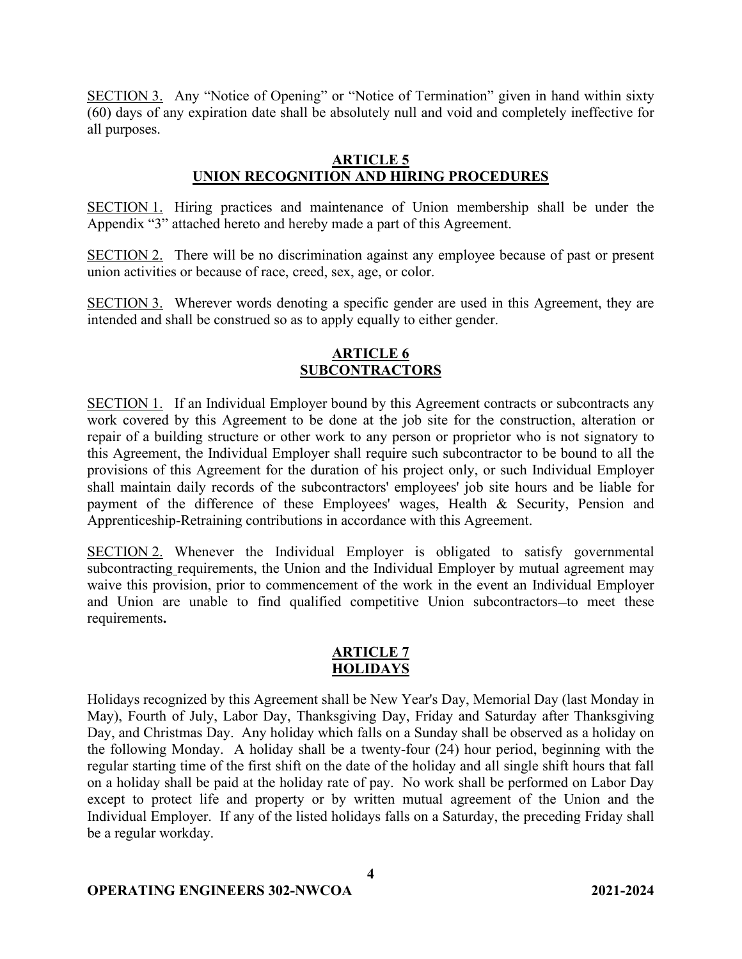SECTION 3. Any "Notice of Opening" or "Notice of Termination" given in hand within sixty (60) days of any expiration date shall be absolutely null and void and completely ineffective for all purposes.

## **ARTICLE 5 UNION RECOGNITION AND HIRING PROCEDURES**

SECTION 1. Hiring practices and maintenance of Union membership shall be under the Appendix "3" attached hereto and hereby made a part of this Agreement.

SECTION 2. There will be no discrimination against any employee because of past or present union activities or because of race, creed, sex, age, or color.

SECTION 3. Wherever words denoting a specific gender are used in this Agreement, they are intended and shall be construed so as to apply equally to either gender.

## **ARTICLE 6 SUBCONTRACTORS**

SECTION 1. If an Individual Employer bound by this Agreement contracts or subcontracts any work covered by this Agreement to be done at the job site for the construction, alteration or repair of a building structure or other work to any person or proprietor who is not signatory to this Agreement, the Individual Employer shall require such subcontractor to be bound to all the provisions of this Agreement for the duration of his project only, or such Individual Employer shall maintain daily records of the subcontractors' employees' job site hours and be liable for payment of the difference of these Employees' wages, Health & Security, Pension and Apprenticeship-Retraining contributions in accordance with this Agreement.

SECTION 2. Whenever the Individual Employer is obligated to satisfy governmental subcontracting requirements, the Union and the Individual Employer by mutual agreement may waive this provision, prior to commencement of the work in the event an Individual Employer and Union are unable to find qualified competitive Union subcontractors-to meet these requirements**.**

### **ARTICLE 7 HOLIDAYS**

Holidays recognized by this Agreement shall be New Year's Day, Memorial Day (last Monday in May), Fourth of July, Labor Day, Thanksgiving Day, Friday and Saturday after Thanksgiving Day, and Christmas Day. Any holiday which falls on a Sunday shall be observed as a holiday on the following Monday. A holiday shall be a twenty-four (24) hour period, beginning with the regular starting time of the first shift on the date of the holiday and all single shift hours that fall on a holiday shall be paid at the holiday rate of pay. No work shall be performed on Labor Day except to protect life and property or by written mutual agreement of the Union and the Individual Employer. If any of the listed holidays falls on a Saturday, the preceding Friday shall be a regular workday.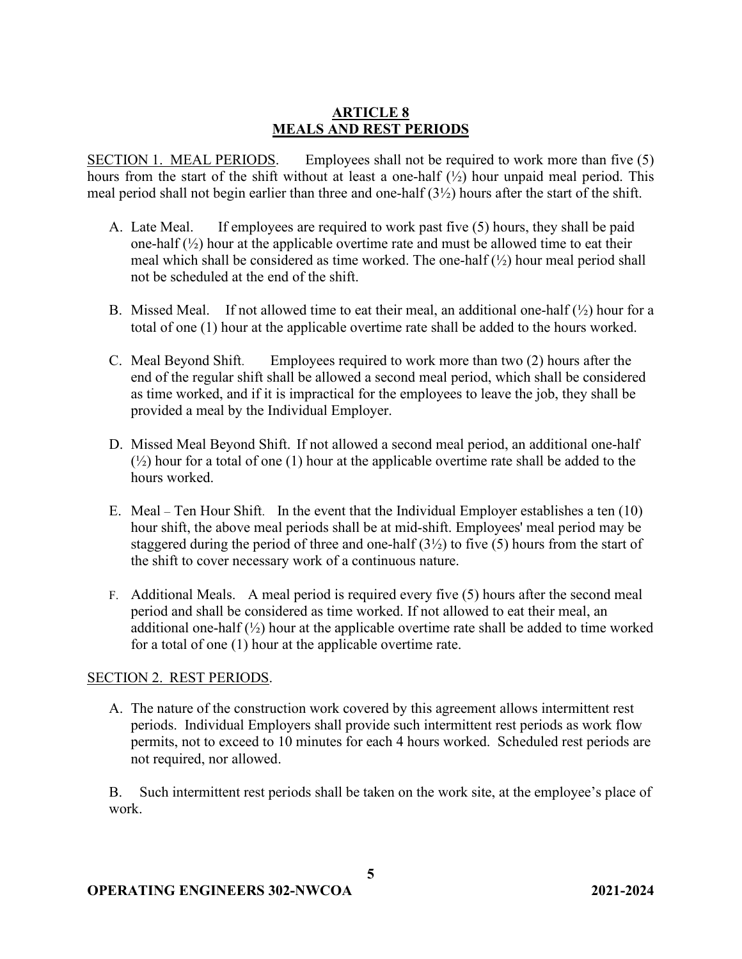## **ARTICLE 8 MEALS AND REST PERIODS**

SECTION 1. MEAL PERIODS. Employees shall not be required to work more than five (5) hours from the start of the shift without at least a one-half  $(\frac{1}{2})$  hour unpaid meal period. This meal period shall not begin earlier than three and one-half (3½) hours after the start of the shift.

- A. Late Meal. If employees are required to work past five (5) hours, they shall be paid one-half  $(\frac{1}{2})$  hour at the applicable overtime rate and must be allowed time to eat their meal which shall be considered as time worked. The one-half  $(\frac{1}{2})$  hour meal period shall not be scheduled at the end of the shift.
- B. Missed Meal. If not allowed time to eat their meal, an additional one-half  $(\frac{1}{2})$  hour for a total of one (1) hour at the applicable overtime rate shall be added to the hours worked.
- C. Meal Beyond Shift. Employees required to work more than two (2) hours after the end of the regular shift shall be allowed a second meal period, which shall be considered as time worked, and if it is impractical for the employees to leave the job, they shall be provided a meal by the Individual Employer.
- D. Missed Meal Beyond Shift. If not allowed a second meal period, an additional one-half  $(\frac{1}{2})$  hour for a total of one (1) hour at the applicable overtime rate shall be added to the hours worked.
- E. Meal Ten Hour Shift. In the event that the Individual Employer establishes a ten (10) hour shift, the above meal periods shall be at mid-shift. Employees' meal period may be staggered during the period of three and one-half  $(3\frac{1}{2})$  to five (5) hours from the start of the shift to cover necessary work of a continuous nature.
- F. Additional Meals. A meal period is required every five (5) hours after the second meal period and shall be considered as time worked. If not allowed to eat their meal, an additional one-half  $(\frac{1}{2})$  hour at the applicable overtime rate shall be added to time worked for a total of one (1) hour at the applicable overtime rate.

### SECTION 2. REST PERIODS.

A. The nature of the construction work covered by this agreement allows intermittent rest periods. Individual Employers shall provide such intermittent rest periods as work flow permits, not to exceed to 10 minutes for each 4 hours worked. Scheduled rest periods are not required, nor allowed.

B. Such intermittent rest periods shall be taken on the work site, at the employee's place of work.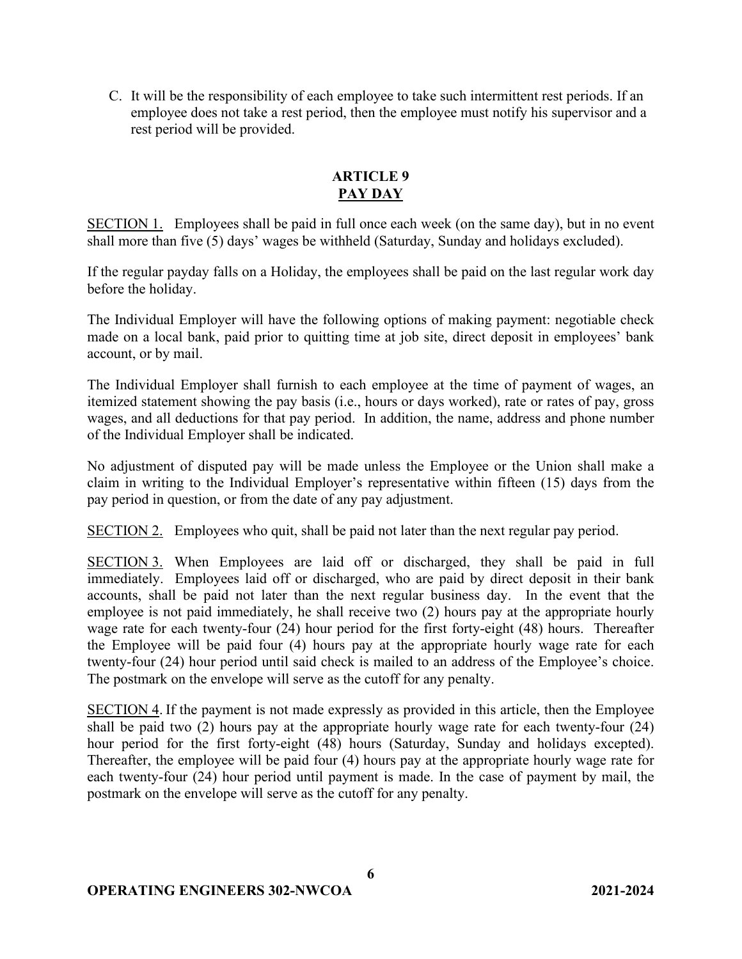C. It will be the responsibility of each employee to take such intermittent rest periods. If an employee does not take a rest period, then the employee must notify his supervisor and a rest period will be provided.

## **ARTICLE 9 PAY DAY**

SECTION 1. Employees shall be paid in full once each week (on the same day), but in no event shall more than five (5) days' wages be withheld (Saturday, Sunday and holidays excluded).

If the regular payday falls on a Holiday, the employees shall be paid on the last regular work day before the holiday.

The Individual Employer will have the following options of making payment: negotiable check made on a local bank, paid prior to quitting time at job site, direct deposit in employees' bank account, or by mail.

The Individual Employer shall furnish to each employee at the time of payment of wages, an itemized statement showing the pay basis (i.e., hours or days worked), rate or rates of pay, gross wages, and all deductions for that pay period. In addition, the name, address and phone number of the Individual Employer shall be indicated.

No adjustment of disputed pay will be made unless the Employee or the Union shall make a claim in writing to the Individual Employer's representative within fifteen (15) days from the pay period in question, or from the date of any pay adjustment.

SECTION 2. Employees who quit, shall be paid not later than the next regular pay period.

SECTION 3. When Employees are laid off or discharged, they shall be paid in full immediately. Employees laid off or discharged, who are paid by direct deposit in their bank accounts, shall be paid not later than the next regular business day.In the event that the employee is not paid immediately, he shall receive two (2) hours pay at the appropriate hourly wage rate for each twenty-four (24) hour period for the first forty-eight (48) hours. Thereafter the Employee will be paid four (4) hours pay at the appropriate hourly wage rate for each twenty-four (24) hour period until said check is mailed to an address of the Employee's choice. The postmark on the envelope will serve as the cutoff for any penalty.

SECTION 4. If the payment is not made expressly as provided in this article, then the Employee shall be paid two (2) hours pay at the appropriate hourly wage rate for each twenty-four (24) hour period for the first forty-eight (48) hours (Saturday, Sunday and holidays excepted). Thereafter, the employee will be paid four (4) hours pay at the appropriate hourly wage rate for each twenty-four (24) hour period until payment is made. In the case of payment by mail, the postmark on the envelope will serve as the cutoff for any penalty.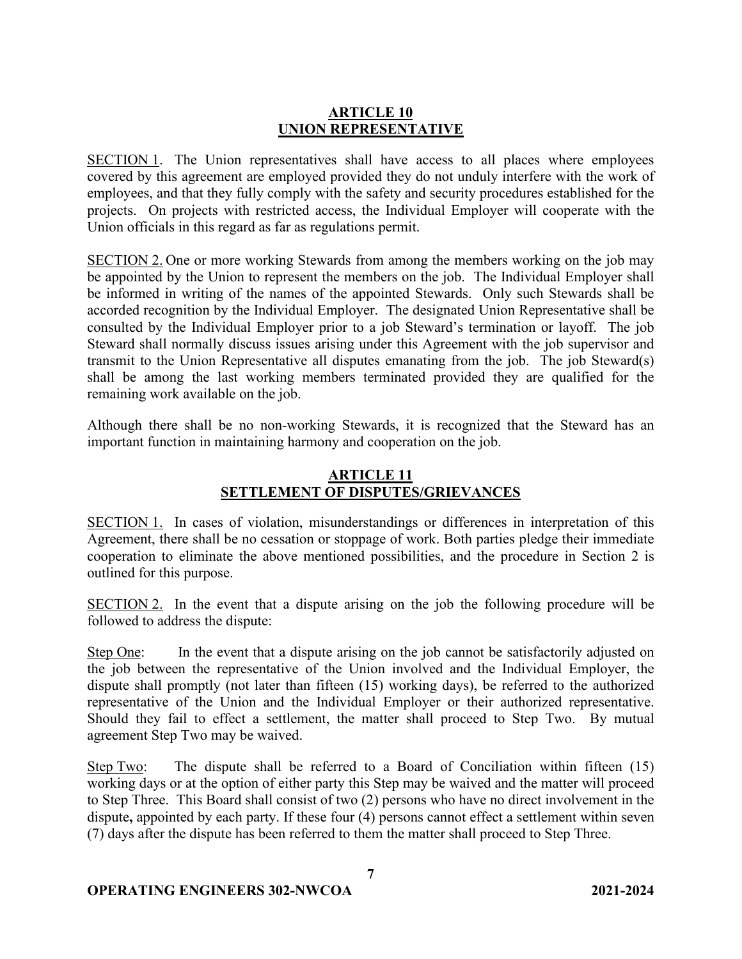### **ARTICLE 10 UNION REPRESENTATIVE**

SECTION 1. The Union representatives shall have access to all places where employees covered by this agreement are employed provided they do not unduly interfere with the work of employees, and that they fully comply with the safety and security procedures established for the projects. On projects with restricted access, the Individual Employer will cooperate with the Union officials in this regard as far as regulations permit.

SECTION 2. One or more working Stewards from among the members working on the job may be appointed by the Union to represent the members on the job. The Individual Employer shall be informed in writing of the names of the appointed Stewards. Only such Stewards shall be accorded recognition by the Individual Employer. The designated Union Representative shall be consulted by the Individual Employer prior to a job Steward's termination or layoff. The job Steward shall normally discuss issues arising under this Agreement with the job supervisor and transmit to the Union Representative all disputes emanating from the job. The job Steward(s) shall be among the last working members terminated provided they are qualified for the remaining work available on the job.

Although there shall be no non-working Stewards, it is recognized that the Steward has an important function in maintaining harmony and cooperation on the job.

# **ARTICLE 11 SETTLEMENT OF DISPUTES/GRIEVANCES**

SECTION 1. In cases of violation, misunderstandings or differences in interpretation of this Agreement, there shall be no cessation or stoppage of work. Both parties pledge their immediate cooperation to eliminate the above mentioned possibilities, and the procedure in Section 2 is outlined for this purpose.

SECTION 2. In the event that a dispute arising on the job the following procedure will be followed to address the dispute:

Step One: In the event that a dispute arising on the job cannot be satisfactorily adjusted on the job between the representative of the Union involved and the Individual Employer, the dispute shall promptly (not later than fifteen (15) working days), be referred to the authorized representative of the Union and the Individual Employer or their authorized representative. Should they fail to effect a settlement, the matter shall proceed to Step Two. By mutual agreement Step Two may be waived.

Step Two: The dispute shall be referred to a Board of Conciliation within fifteen (15) working days or at the option of either party this Step may be waived and the matter will proceed to Step Three. This Board shall consist of two (2) persons who have no direct involvement in the dispute**,** appointed by each party. If these four (4) persons cannot effect a settlement within seven (7) days after the dispute has been referred to them the matter shall proceed to Step Three.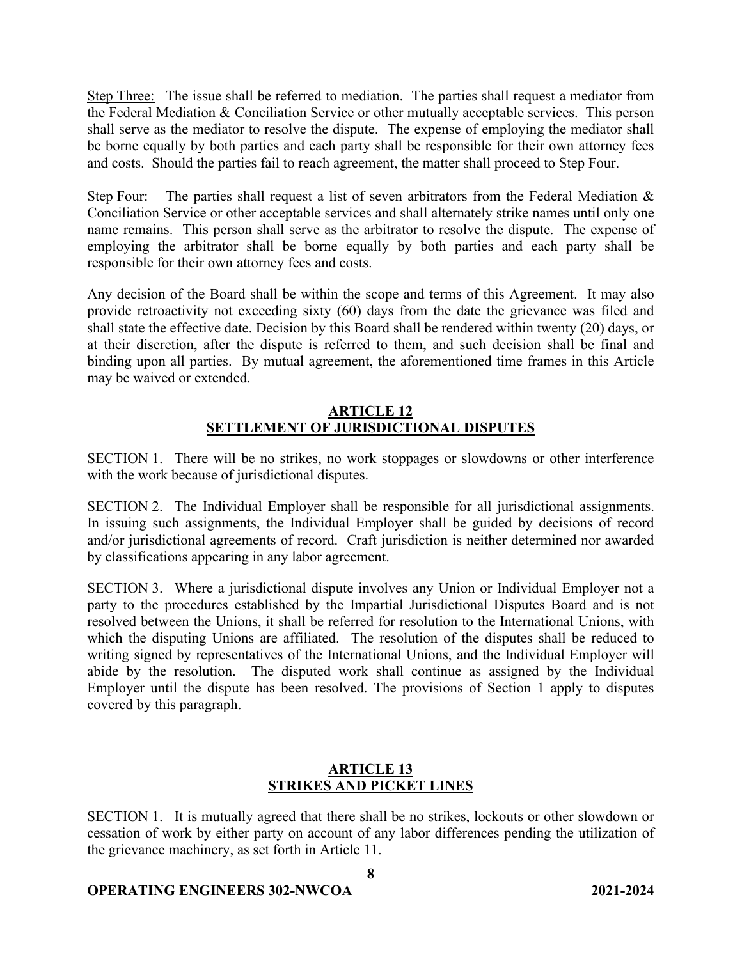Step Three: The issue shall be referred to mediation. The parties shall request a mediator from the Federal Mediation & Conciliation Service or other mutually acceptable services. This person shall serve as the mediator to resolve the dispute. The expense of employing the mediator shall be borne equally by both parties and each party shall be responsible for their own attorney fees and costs. Should the parties fail to reach agreement, the matter shall proceed to Step Four.

Step Four: The parties shall request a list of seven arbitrators from the Federal Mediation  $\&$ Conciliation Service or other acceptable services and shall alternately strike names until only one name remains. This person shall serve as the arbitrator to resolve the dispute. The expense of employing the arbitrator shall be borne equally by both parties and each party shall be responsible for their own attorney fees and costs.

Any decision of the Board shall be within the scope and terms of this Agreement. It may also provide retroactivity not exceeding sixty (60) days from the date the grievance was filed and shall state the effective date. Decision by this Board shall be rendered within twenty (20) days, or at their discretion, after the dispute is referred to them, and such decision shall be final and binding upon all parties. By mutual agreement, the aforementioned time frames in this Article may be waived or extended.

## **ARTICLE 12 SETTLEMENT OF JURISDICTIONAL DISPUTES**

SECTION 1. There will be no strikes, no work stoppages or slowdowns or other interference with the work because of jurisdictional disputes.

SECTION 2. The Individual Employer shall be responsible for all jurisdictional assignments. In issuing such assignments, the Individual Employer shall be guided by decisions of record and/or jurisdictional agreements of record. Craft jurisdiction is neither determined nor awarded by classifications appearing in any labor agreement.

SECTION 3. Where a jurisdictional dispute involves any Union or Individual Employer not a party to the procedures established by the Impartial Jurisdictional Disputes Board and is not resolved between the Unions, it shall be referred for resolution to the International Unions, with which the disputing Unions are affiliated. The resolution of the disputes shall be reduced to writing signed by representatives of the International Unions, and the Individual Employer will abide by the resolution. The disputed work shall continue as assigned by the Individual Employer until the dispute has been resolved. The provisions of Section 1 apply to disputes covered by this paragraph.

## **ARTICLE 13 STRIKES AND PICKET LINES**

SECTION 1. It is mutually agreed that there shall be no strikes, lockouts or other slowdown or cessation of work by either party on account of any labor differences pending the utilization of the grievance machinery, as set forth in Article 11.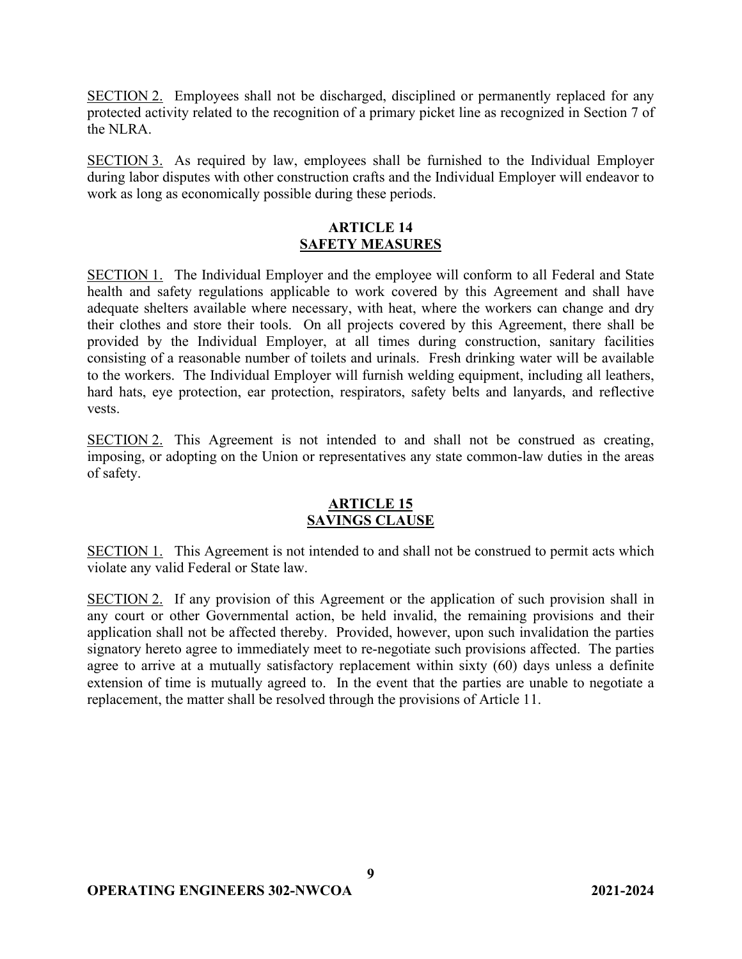SECTION 2. Employees shall not be discharged, disciplined or permanently replaced for any protected activity related to the recognition of a primary picket line as recognized in Section 7 of the NLRA.

SECTION 3. As required by law, employees shall be furnished to the Individual Employer during labor disputes with other construction crafts and the Individual Employer will endeavor to work as long as economically possible during these periods.

### **ARTICLE 14 SAFETY MEASURES**

SECTION 1. The Individual Employer and the employee will conform to all Federal and State health and safety regulations applicable to work covered by this Agreement and shall have adequate shelters available where necessary, with heat, where the workers can change and dry their clothes and store their tools. On all projects covered by this Agreement, there shall be provided by the Individual Employer, at all times during construction, sanitary facilities consisting of a reasonable number of toilets and urinals. Fresh drinking water will be available to the workers. The Individual Employer will furnish welding equipment, including all leathers, hard hats, eye protection, ear protection, respirators, safety belts and lanyards, and reflective vests.

SECTION 2. This Agreement is not intended to and shall not be construed as creating, imposing, or adopting on the Union or representatives any state common-law duties in the areas of safety.

### **ARTICLE 15 SAVINGS CLAUSE**

SECTION 1. This Agreement is not intended to and shall not be construed to permit acts which violate any valid Federal or State law.

SECTION 2. If any provision of this Agreement or the application of such provision shall in any court or other Governmental action, be held invalid, the remaining provisions and their application shall not be affected thereby. Provided, however, upon such invalidation the parties signatory hereto agree to immediately meet to re-negotiate such provisions affected. The parties agree to arrive at a mutually satisfactory replacement within sixty (60) days unless a definite extension of time is mutually agreed to. In the event that the parties are unable to negotiate a replacement, the matter shall be resolved through the provisions of Article 11.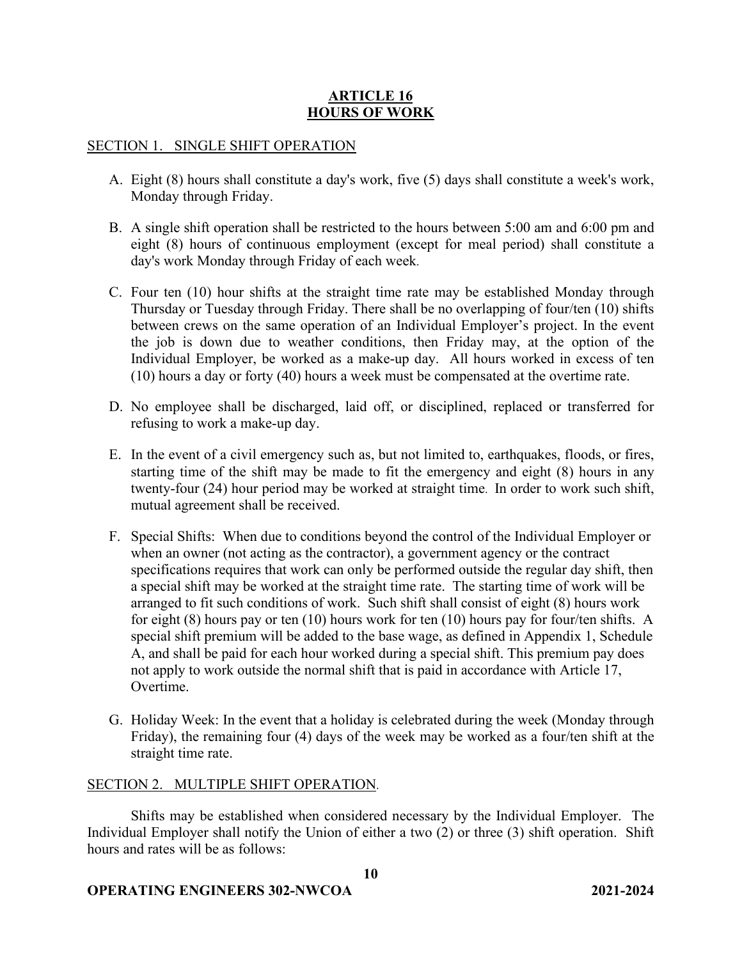## **ARTICLE 16 HOURS OF WORK**

#### SECTION 1. SINGLE SHIFT OPERATION

- A. Eight (8) hours shall constitute a day's work, five (5) days shall constitute a week's work, Monday through Friday.
- B. A single shift operation shall be restricted to the hours between 5:00 am and 6:00 pm and eight (8) hours of continuous employment (except for meal period) shall constitute a day's work Monday through Friday of each week.
- C. Four ten (10) hour shifts at the straight time rate may be established Monday through Thursday or Tuesday through Friday. There shall be no overlapping of four/ten (10) shifts between crews on the same operation of an Individual Employer's project. In the event the job is down due to weather conditions, then Friday may, at the option of the Individual Employer, be worked as a make-up day. All hours worked in excess of ten (10) hours a day or forty (40) hours a week must be compensated at the overtime rate.
- D. No employee shall be discharged, laid off, or disciplined, replaced or transferred for refusing to work a make-up day.
- E. In the event of a civil emergency such as, but not limited to, earthquakes, floods, or fires, starting time of the shift may be made to fit the emergency and eight (8) hours in any twenty-four (24) hour period may be worked at straight time. In order to work such shift, mutual agreement shall be received.
- F. Special Shifts: When due to conditions beyond the control of the Individual Employer or when an owner (not acting as the contractor), a government agency or the contract specifications requires that work can only be performed outside the regular day shift, then a special shift may be worked at the straight time rate. The starting time of work will be arranged to fit such conditions of work. Such shift shall consist of eight (8) hours work for eight (8) hours pay or ten (10) hours work for ten (10) hours pay for four/ten shifts. A special shift premium will be added to the base wage, as defined in Appendix 1, Schedule A, and shall be paid for each hour worked during a special shift. This premium pay does not apply to work outside the normal shift that is paid in accordance with Article 17, Overtime.
- G. Holiday Week: In the event that a holiday is celebrated during the week (Monday through Friday), the remaining four (4) days of the week may be worked as a four/ten shift at the straight time rate.

#### SECTION 2. MULTIPLE SHIFT OPERATION.

Shifts may be established when considered necessary by the Individual Employer. The Individual Employer shall notify the Union of either a two (2) or three (3) shift operation. Shift hours and rates will be as follows:

**10**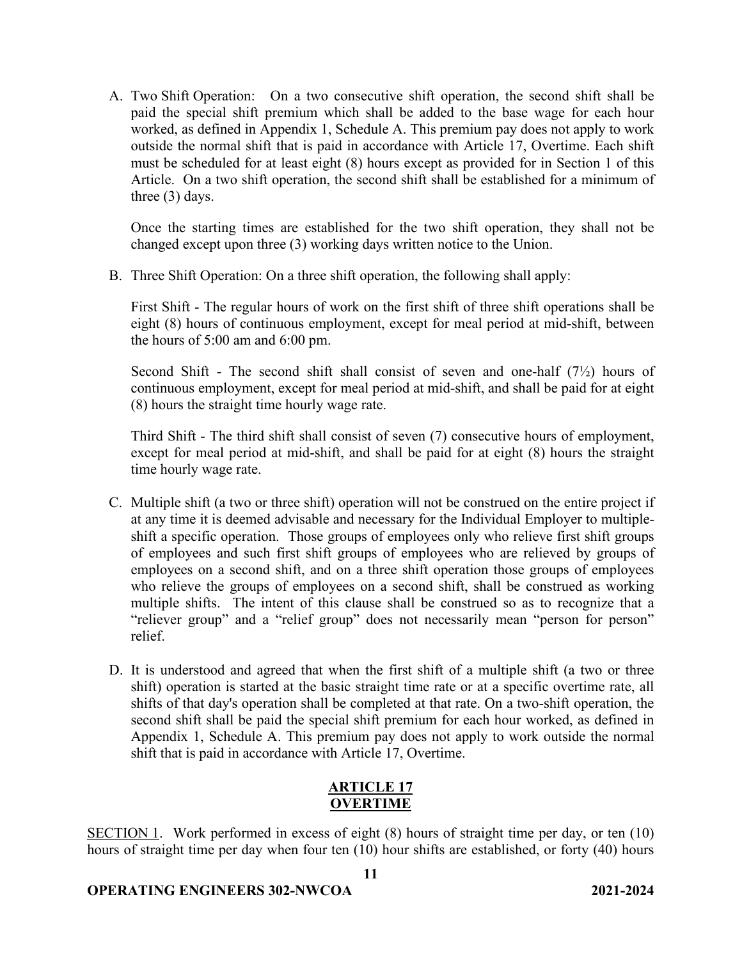A. Two Shift Operation: On a two consecutive shift operation, the second shift shall be paid the special shift premium which shall be added to the base wage for each hour worked, as defined in Appendix 1, Schedule A. This premium pay does not apply to work outside the normal shift that is paid in accordance with Article 17, Overtime. Each shift must be scheduled for at least eight (8) hours except as provided for in Section 1 of this Article. On a two shift operation, the second shift shall be established for a minimum of three (3) days.

Once the starting times are established for the two shift operation, they shall not be changed except upon three (3) working days written notice to the Union.

B. Three Shift Operation: On a three shift operation, the following shall apply:

First Shift - The regular hours of work on the first shift of three shift operations shall be eight (8) hours of continuous employment, except for meal period at mid-shift, between the hours of 5:00 am and 6:00 pm.

Second Shift - The second shift shall consist of seven and one-half  $(7\frac{1}{2})$  hours of continuous employment, except for meal period at mid-shift, and shall be paid for at eight (8) hours the straight time hourly wage rate.

Third Shift - The third shift shall consist of seven (7) consecutive hours of employment, except for meal period at mid-shift, and shall be paid for at eight (8) hours the straight time hourly wage rate.

- C. Multiple shift (a two or three shift) operation will not be construed on the entire project if at any time it is deemed advisable and necessary for the Individual Employer to multipleshift a specific operation. Those groups of employees only who relieve first shift groups of employees and such first shift groups of employees who are relieved by groups of employees on a second shift, and on a three shift operation those groups of employees who relieve the groups of employees on a second shift, shall be construed as working multiple shifts. The intent of this clause shall be construed so as to recognize that a "reliever group" and a "relief group" does not necessarily mean "person for person" relief.
- D. It is understood and agreed that when the first shift of a multiple shift (a two or three shift) operation is started at the basic straight time rate or at a specific overtime rate, all shifts of that day's operation shall be completed at that rate. On a two-shift operation, the second shift shall be paid the special shift premium for each hour worked, as defined in Appendix 1, Schedule A. This premium pay does not apply to work outside the normal shift that is paid in accordance with Article 17, Overtime.

# **ARTICLE 17 OVERTIME**

SECTION 1. Work performed in excess of eight (8) hours of straight time per day, or ten (10) hours of straight time per day when four ten (10) hour shifts are established, or forty (40) hours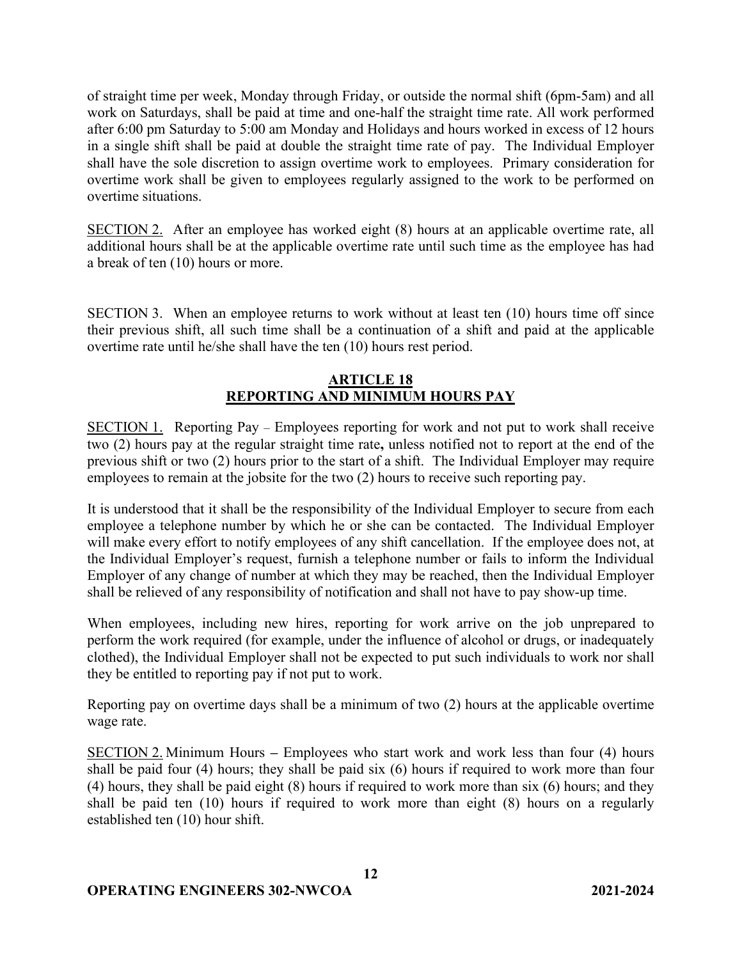of straight time per week, Monday through Friday, or outside the normal shift (6pm-5am) and all work on Saturdays, shall be paid at time and one-half the straight time rate. All work performed after 6:00 pm Saturday to 5:00 am Monday and Holidays and hours worked in excess of 12 hours in a single shift shall be paid at double the straight time rate of pay. The Individual Employer shall have the sole discretion to assign overtime work to employees. Primary consideration for overtime work shall be given to employees regularly assigned to the work to be performed on overtime situations.

SECTION 2. After an employee has worked eight (8) hours at an applicable overtime rate, all additional hours shall be at the applicable overtime rate until such time as the employee has had a break of ten (10) hours or more.

SECTION 3. When an employee returns to work without at least ten (10) hours time off since their previous shift, all such time shall be a continuation of a shift and paid at the applicable overtime rate until he/she shall have the ten (10) hours rest period.

## **ARTICLE 18 REPORTING AND MINIMUM HOURS PAY**

SECTION 1. Reporting Pay – Employees reporting for work and not put to work shall receive two (2) hours pay at the regular straight time rate**,** unless notified not to report at the end of the previous shift or two (2) hours prior to the start of a shift. The Individual Employer may require employees to remain at the jobsite for the two (2) hours to receive such reporting pay.

It is understood that it shall be the responsibility of the Individual Employer to secure from each employee a telephone number by which he or she can be contacted. The Individual Employer will make every effort to notify employees of any shift cancellation. If the employee does not, at the Individual Employer's request, furnish a telephone number or fails to inform the Individual Employer of any change of number at which they may be reached, then the Individual Employer shall be relieved of any responsibility of notification and shall not have to pay show-up time.

When employees, including new hires, reporting for work arrive on the job unprepared to perform the work required (for example, under the influence of alcohol or drugs, or inadequately clothed), the Individual Employer shall not be expected to put such individuals to work nor shall they be entitled to reporting pay if not put to work.

Reporting pay on overtime days shall be a minimum of two (2) hours at the applicable overtime wage rate.

SECTION 2. Minimum Hours **–** Employees who start work and work less than four (4) hours shall be paid four (4) hours; they shall be paid six (6) hours if required to work more than four (4) hours, they shall be paid eight (8) hours if required to work more than six (6) hours; and they shall be paid ten (10) hours if required to work more than eight (8) hours on a regularly established ten (10) hour shift.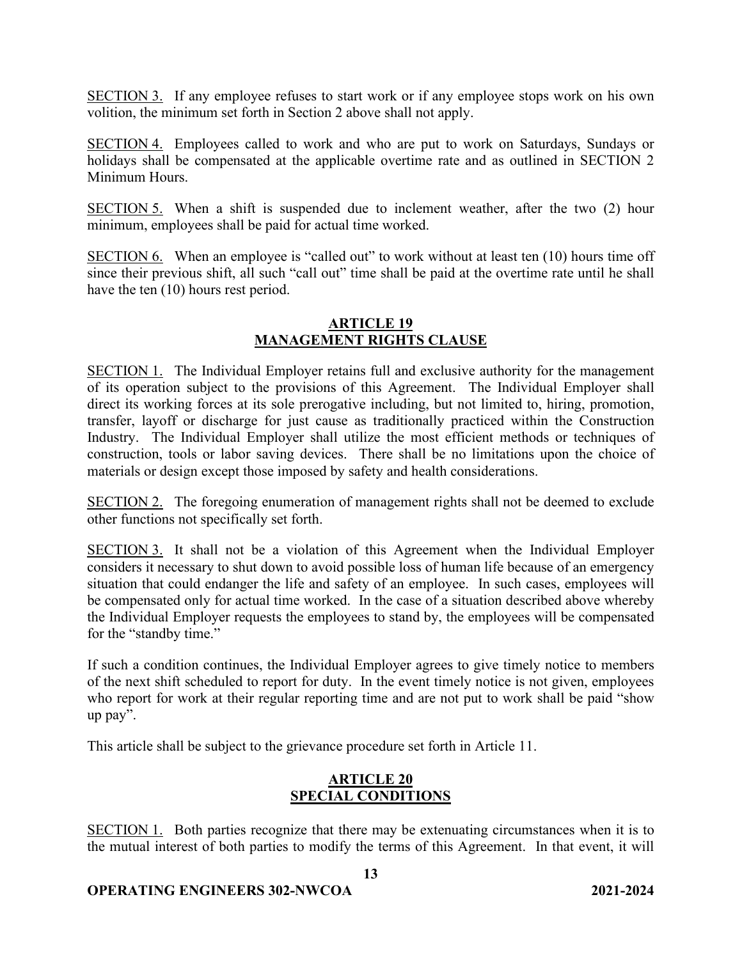SECTION 3. If any employee refuses to start work or if any employee stops work on his own volition, the minimum set forth in Section 2 above shall not apply.

SECTION 4. Employees called to work and who are put to work on Saturdays, Sundays or holidays shall be compensated at the applicable overtime rate and as outlined in SECTION 2 Minimum Hours.

SECTION 5. When a shift is suspended due to inclement weather, after the two (2) hour minimum, employees shall be paid for actual time worked.

SECTION 6. When an employee is "called out" to work without at least ten (10) hours time off since their previous shift, all such "call out" time shall be paid at the overtime rate until he shall have the ten (10) hours rest period.

### **ARTICLE 19 MANAGEMENT RIGHTS CLAUSE**

SECTION 1. The Individual Employer retains full and exclusive authority for the management of its operation subject to the provisions of this Agreement. The Individual Employer shall direct its working forces at its sole prerogative including, but not limited to, hiring, promotion, transfer, layoff or discharge for just cause as traditionally practiced within the Construction Industry. The Individual Employer shall utilize the most efficient methods or techniques of construction, tools or labor saving devices. There shall be no limitations upon the choice of materials or design except those imposed by safety and health considerations.

SECTION 2. The foregoing enumeration of management rights shall not be deemed to exclude other functions not specifically set forth.

SECTION 3. It shall not be a violation of this Agreement when the Individual Employer considers it necessary to shut down to avoid possible loss of human life because of an emergency situation that could endanger the life and safety of an employee. In such cases, employees will be compensated only for actual time worked. In the case of a situation described above whereby the Individual Employer requests the employees to stand by, the employees will be compensated for the "standby time."

If such a condition continues, the Individual Employer agrees to give timely notice to members of the next shift scheduled to report for duty. In the event timely notice is not given, employees who report for work at their regular reporting time and are not put to work shall be paid "show up pay".

This article shall be subject to the grievance procedure set forth in Article 11.

## **ARTICLE 20 SPECIAL CONDITIONS**

SECTION 1. Both parties recognize that there may be extenuating circumstances when it is to the mutual interest of both parties to modify the terms of this Agreement. In that event, it will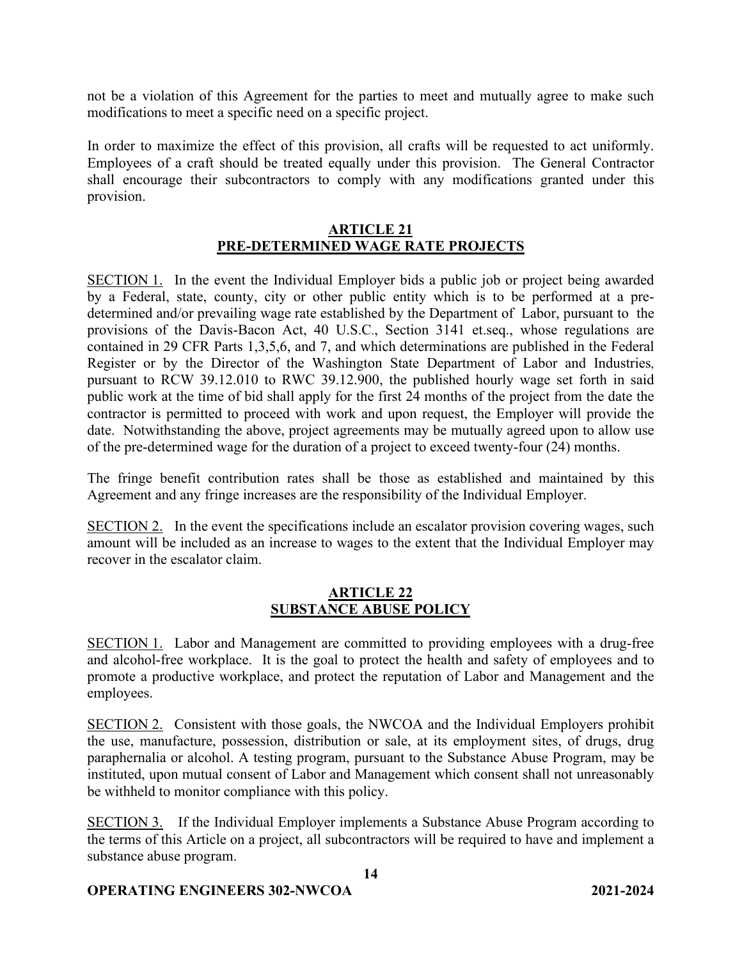not be a violation of this Agreement for the parties to meet and mutually agree to make such modifications to meet a specific need on a specific project.

In order to maximize the effect of this provision, all crafts will be requested to act uniformly. Employees of a craft should be treated equally under this provision. The General Contractor shall encourage their subcontractors to comply with any modifications granted under this provision.

### **ARTICLE 21 PRE-DETERMINED WAGE RATE PROJECTS**

SECTION 1. In the event the Individual Employer bids a public job or project being awarded by a Federal, state, county, city or other public entity which is to be performed at a predetermined and/or prevailing wage rate established by the Department of Labor, pursuant to the provisions of the Davis-Bacon Act, 40 U.S.C., Section 3141 et.seq., whose regulations are contained in 29 CFR Parts 1,3,5,6, and 7, and which determinations are published in the Federal Register or by the Director of the Washington State Department of Labor and Industries, pursuant to RCW 39.12.010 to RWC 39.12.900, the published hourly wage set forth in said public work at the time of bid shall apply for the first 24 months of the project from the date the contractor is permitted to proceed with work and upon request, the Employer will provide the date. Notwithstanding the above, project agreements may be mutually agreed upon to allow use of the pre-determined wage for the duration of a project to exceed twenty-four (24) months.

The fringe benefit contribution rates shall be those as established and maintained by this Agreement and any fringe increases are the responsibility of the Individual Employer.

SECTION 2. In the event the specifications include an escalator provision covering wages, such amount will be included as an increase to wages to the extent that the Individual Employer may recover in the escalator claim.

## **ARTICLE 22 SUBSTANCE ABUSE POLICY**

SECTION 1. Labor and Management are committed to providing employees with a drug-free and alcohol-free workplace. It is the goal to protect the health and safety of employees and to promote a productive workplace, and protect the reputation of Labor and Management and the employees.

SECTION 2. Consistent with those goals, the NWCOA and the Individual Employers prohibit the use, manufacture, possession, distribution or sale, at its employment sites, of drugs, drug paraphernalia or alcohol. A testing program, pursuant to the Substance Abuse Program, may be instituted, upon mutual consent of Labor and Management which consent shall not unreasonably be withheld to monitor compliance with this policy.

SECTION 3. If the Individual Employer implements a Substance Abuse Program according to the terms of this Article on a project, all subcontractors will be required to have and implement a substance abuse program.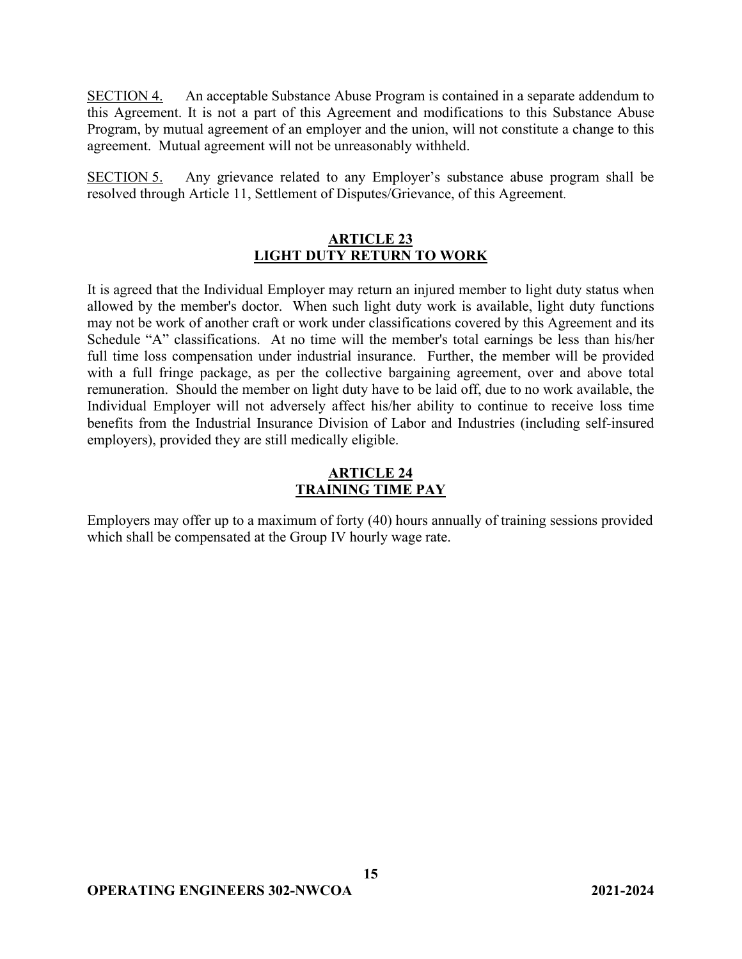SECTION 4. An acceptable Substance Abuse Program is contained in a separate addendum to this Agreement. It is not a part of this Agreement and modifications to this Substance Abuse Program, by mutual agreement of an employer and the union, will not constitute a change to this agreement. Mutual agreement will not be unreasonably withheld.

SECTION 5. Any grievance related to any Employer's substance abuse program shall be resolved through Article 11, Settlement of Disputes/Grievance, of this Agreement.

### **ARTICLE 23 LIGHT DUTY RETURN TO WORK**

It is agreed that the Individual Employer may return an injured member to light duty status when allowed by the member's doctor. When such light duty work is available, light duty functions may not be work of another craft or work under classifications covered by this Agreement and its Schedule "A" classifications. At no time will the member's total earnings be less than his/her full time loss compensation under industrial insurance. Further, the member will be provided with a full fringe package, as per the collective bargaining agreement, over and above total remuneration. Should the member on light duty have to be laid off, due to no work available, the Individual Employer will not adversely affect his/her ability to continue to receive loss time benefits from the Industrial Insurance Division of Labor and Industries (including self-insured employers), provided they are still medically eligible.

# **ARTICLE 24 TRAINING TIME PAY**

Employers may offer up to a maximum of forty (40) hours annually of training sessions provided which shall be compensated at the Group IV hourly wage rate.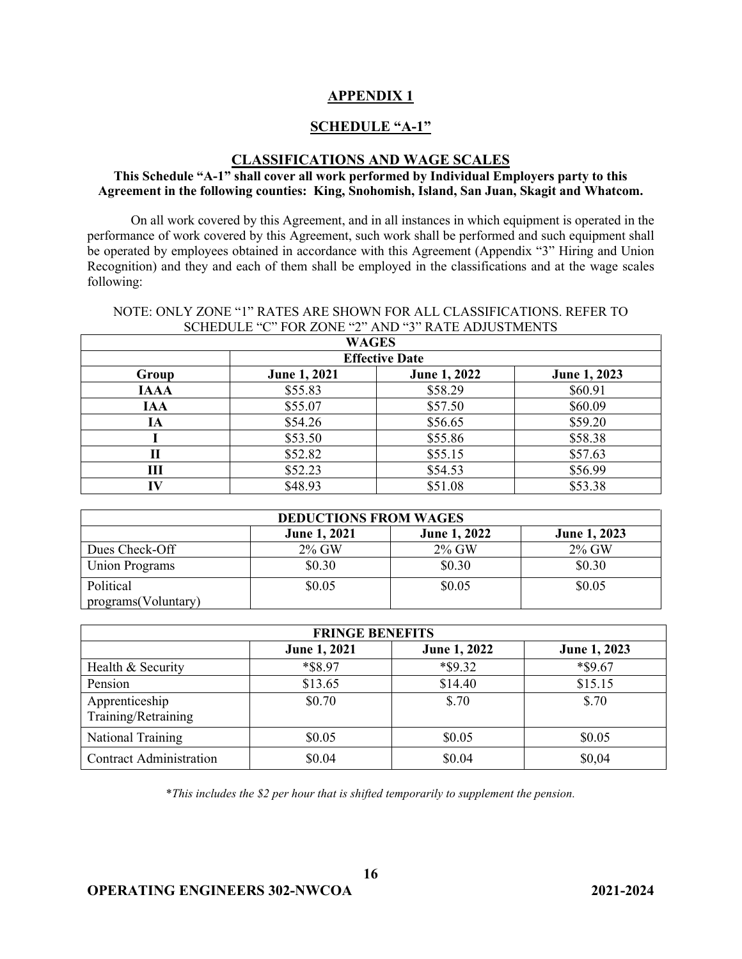### **APPENDIX 1**

### **SCHEDULE "A-1"**

#### **CLASSIFICATIONS AND WAGE SCALES**

#### **This Schedule "A-1" shall cover all work performed by Individual Employers party to this Agreement in the following counties: King, Snohomish, Island, San Juan, Skagit and Whatcom.**

On all work covered by this Agreement, and in all instances in which equipment is operated in the performance of work covered by this Agreement, such work shall be performed and such equipment shall be operated by employees obtained in accordance with this Agreement (Appendix "3" Hiring and Union Recognition) and they and each of them shall be employed in the classifications and at the wage scales following:

#### NOTE: ONLY ZONE "1" RATES ARE SHOWN FOR ALL CLASSIFICATIONS. REFER TO SCHEDULE "C" FOR ZONE "2" AND "3" RATE ADJUSTMENTS

| <b>WAGES</b> |                       |              |              |  |  |
|--------------|-----------------------|--------------|--------------|--|--|
|              | <b>Effective Date</b> |              |              |  |  |
| Group        | June 1, 2021          | June 1, 2022 | June 1, 2023 |  |  |
| <b>IAAA</b>  | \$55.83               | \$58.29      | \$60.91      |  |  |
| <b>IAA</b>   | \$55.07               | \$57.50      | \$60.09      |  |  |
| IA           | \$54.26               | \$56.65      | \$59.20      |  |  |
|              | \$53.50               | \$55.86      | \$58.38      |  |  |
| П            | \$52.82               | \$55.15      | \$57.63      |  |  |
| Ш            | \$52.23               | \$54.53      | \$56.99      |  |  |
| IV           | \$48.93               | \$51.08      | \$53.38      |  |  |

| <b>DEDUCTIONS FROM WAGES</b> |                     |                     |                     |
|------------------------------|---------------------|---------------------|---------------------|
|                              | <b>June 1, 2021</b> | <b>June 1, 2022</b> | <b>June 1, 2023</b> |
| Dues Check-Off               | $2\%$ GW            | $2\%$ GW            | $2\%$ GW            |
| <b>Union Programs</b>        | \$0.30              | \$0.30              | \$0.30              |
| Political                    | \$0.05              | \$0.05              | \$0.05              |
| programs(Voluntary)          |                     |                     |                     |

| <b>FRINGE BENEFITS</b>                |              |                     |              |
|---------------------------------------|--------------|---------------------|--------------|
|                                       | June 1, 2021 | <b>June 1, 2022</b> | June 1, 2023 |
| Health & Security                     | *\$8.97      | $*$ \$9.32          | $*$ \$9.67   |
| Pension                               | \$13.65      | \$14.40             | \$15.15      |
| Apprenticeship<br>Training/Retraining | \$0.70       | \$.70               | \$.70        |
| National Training                     | \$0.05       | \$0.05              | \$0.05       |
| <b>Contract Administration</b>        | \$0.04       | \$0.04              | \$0,04       |

\**This includes the \$2 per hour that is shifted temporarily to supplement the pension.*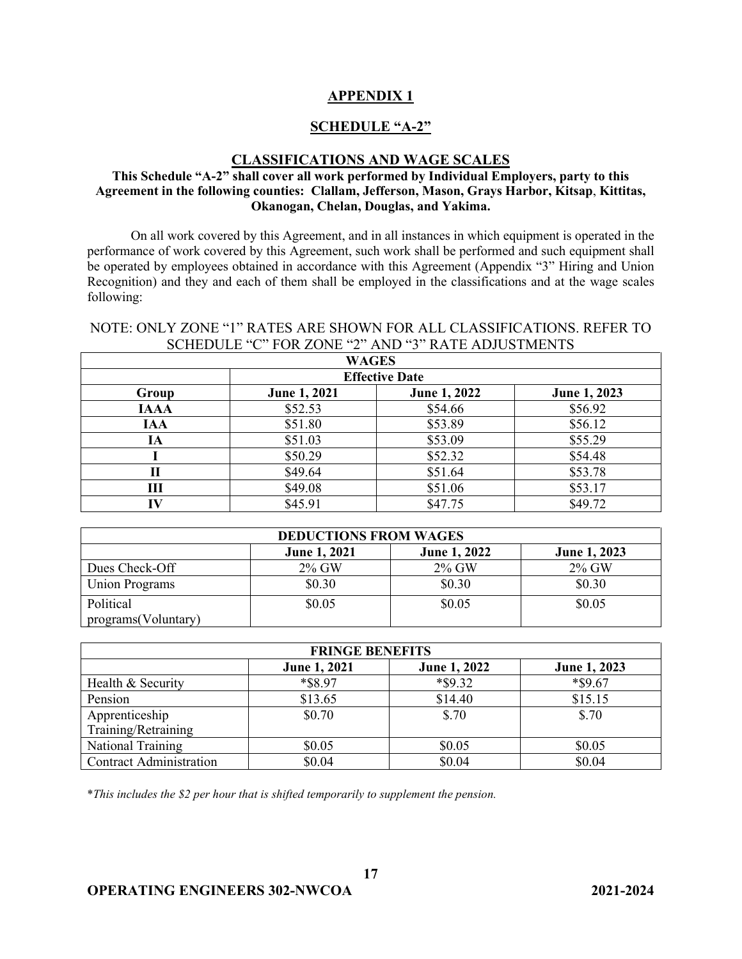### **APPENDIX 1**

### **SCHEDULE "A-2"**

#### **CLASSIFICATIONS AND WAGE SCALES**

### **This Schedule "A-2" shall cover all work performed by Individual Employers, party to this Agreement in the following counties: Clallam, Jefferson, Mason, Grays Harbor, Kitsap**, **Kittitas, Okanogan, Chelan, Douglas, and Yakima.**

On all work covered by this Agreement, and in all instances in which equipment is operated in the performance of work covered by this Agreement, such work shall be performed and such equipment shall be operated by employees obtained in accordance with this Agreement (Appendix "3" Hiring and Union Recognition) and they and each of them shall be employed in the classifications and at the wage scales following:

### NOTE: ONLY ZONE "1" RATES ARE SHOWN FOR ALL CLASSIFICATIONS. REFER TO SCHEDULE "C" FOR ZONE "2" AND "3" RATE ADJUSTMENTS

| <b>WAGES</b> |                       |              |              |  |
|--------------|-----------------------|--------------|--------------|--|
|              | <b>Effective Date</b> |              |              |  |
| Group        | <b>June 1, 2021</b>   | June 1, 2022 | June 1, 2023 |  |
| <b>IAAA</b>  | \$52.53               | \$54.66      | \$56.92      |  |
| <b>IAA</b>   | \$51.80               | \$53.89      | \$56.12      |  |
| IA           | \$51.03               | \$53.09      | \$55.29      |  |
|              | \$50.29               | \$52.32      | \$54.48      |  |
| П            | \$49.64               | \$51.64      | \$53.78      |  |
| Ш            | \$49.08               | \$51.06      | \$53.17      |  |
| IV           | \$45.91               | \$47.75      | \$49.72      |  |

| <b>DEDUCTIONS FROM WAGES</b>     |                     |                     |              |
|----------------------------------|---------------------|---------------------|--------------|
|                                  | <b>June 1, 2021</b> | <b>June 1, 2022</b> | June 1, 2023 |
| Dues Check-Off                   | 2% GW               | $2\%$ GW            | $2\%$ GW     |
| <b>Union Programs</b>            | \$0.30              | \$0.30              | \$0.30       |
| Political<br>programs(Voluntary) | \$0.05              | \$0.05              | \$0.05       |

| <b>FRINGE BENEFITS</b>         |                     |              |              |
|--------------------------------|---------------------|--------------|--------------|
|                                | <b>June 1, 2021</b> | June 1, 2022 | June 1, 2023 |
| Health & Security              | *\$8.97             | $*$ \$9.32   | *\$9.67      |
| Pension                        | \$13.65             | \$14.40      | \$15.15      |
| Apprenticeship                 | \$0.70              | \$.70        | \$.70        |
| Training/Retraining            |                     |              |              |
| National Training              | \$0.05              | \$0.05       | \$0.05       |
| <b>Contract Administration</b> | \$0.04              | \$0.04       | \$0.04       |

**17**

\**This includes the \$2 per hour that is shifted temporarily to supplement the pension.*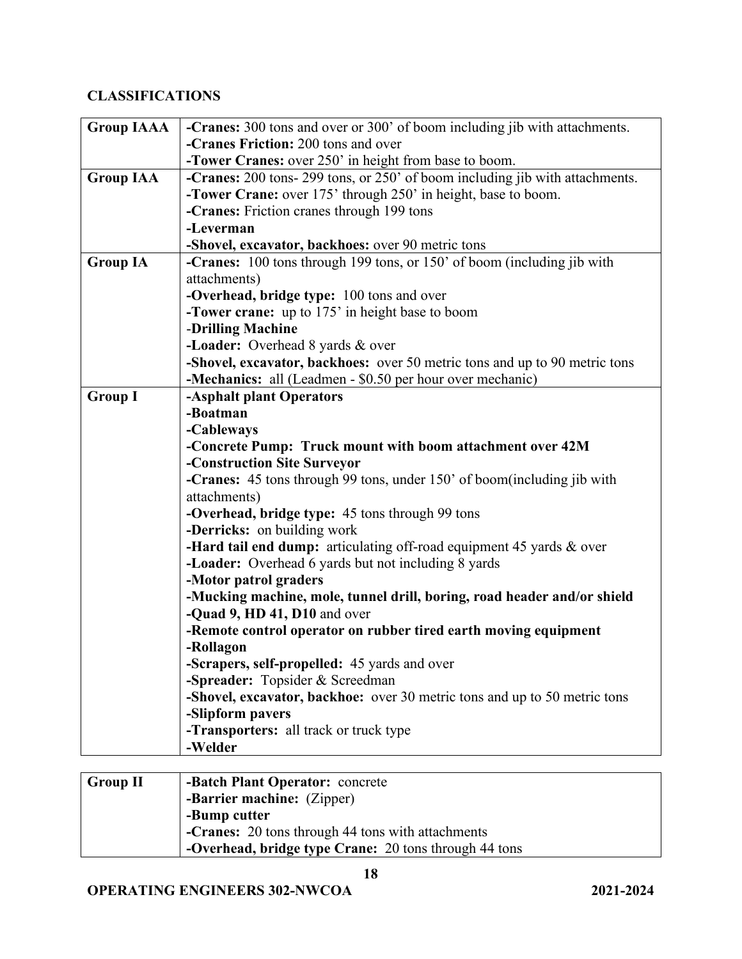# **CLASSIFICATIONS**

| <b>Group IAAA</b> | -Cranes: 300 tons and over or 300' of boom including jib with attachments.                    |
|-------------------|-----------------------------------------------------------------------------------------------|
|                   | -Cranes Friction: 200 tons and over                                                           |
|                   | -Tower Cranes: over 250' in height from base to boom.                                         |
| <b>Group IAA</b>  | -Cranes: 200 tons- 299 tons, or 250' of boom including jib with attachments.                  |
|                   | <b>-Tower Crane:</b> over 175' through 250' in height, base to boom.                          |
|                   | -Cranes: Friction cranes through 199 tons                                                     |
|                   | -Leverman                                                                                     |
|                   | -Shovel, excavator, backhoes: over 90 metric tons                                             |
| <b>Group IA</b>   | <b>-Cranes:</b> 100 tons through 199 tons, or 150' of boom (including jib with                |
|                   | attachments)                                                                                  |
|                   | -Overhead, bridge type: 100 tons and over                                                     |
|                   | <b>-Tower crane:</b> up to 175' in height base to boom                                        |
|                   | -Drilling Machine                                                                             |
|                   | -Loader: Overhead 8 yards & over                                                              |
|                   | -Shovel, excavator, backhoes: over 50 metric tons and up to 90 metric tons                    |
|                   | -Mechanics: all (Leadmen - \$0.50 per hour over mechanic)                                     |
| <b>Group I</b>    | -Asphalt plant Operators                                                                      |
|                   | -Boatman                                                                                      |
|                   | -Cableways                                                                                    |
|                   | -Concrete Pump: Truck mount with boom attachment over 42M                                     |
|                   | -Construction Site Surveyor                                                                   |
|                   | <b>-Cranes:</b> 45 tons through 99 tons, under 150' of boom(including jib with                |
|                   | attachments)                                                                                  |
|                   | -Overhead, bridge type: 45 tons through 99 tons                                               |
|                   | -Derricks: on building work                                                                   |
|                   | -Hard tail end dump: articulating off-road equipment 45 yards $\&$ over                       |
|                   | -Loader: Overhead 6 yards but not including 8 yards                                           |
|                   | -Motor patrol graders                                                                         |
|                   | -Mucking machine, mole, tunnel drill, boring, road header and/or shield                       |
|                   | -Quad 9, HD 41, D10 and over                                                                  |
|                   | -Remote control operator on rubber tired earth moving equipment                               |
|                   | -Rollagon                                                                                     |
|                   | -Scrapers, self-propelled: 45 yards and over                                                  |
|                   | -Spreader: Topsider & Screedman                                                               |
|                   | -Shovel, excavator, backhoe: over 30 metric tons and up to 50 metric tons<br>-Slipform pavers |
|                   |                                                                                               |
|                   | -Transporters: all track or truck type<br>-Welder                                             |
|                   |                                                                                               |

| Group II | <b>-Batch Plant Operator:</b> concrete                |
|----------|-------------------------------------------------------|
|          | -Barrier machine: (Zipper)                            |
|          | -Bump cutter                                          |
|          | -Cranes: 20 tons through 44 tons with attachments     |
|          | -Overhead, bridge type Crane: 20 tons through 44 tons |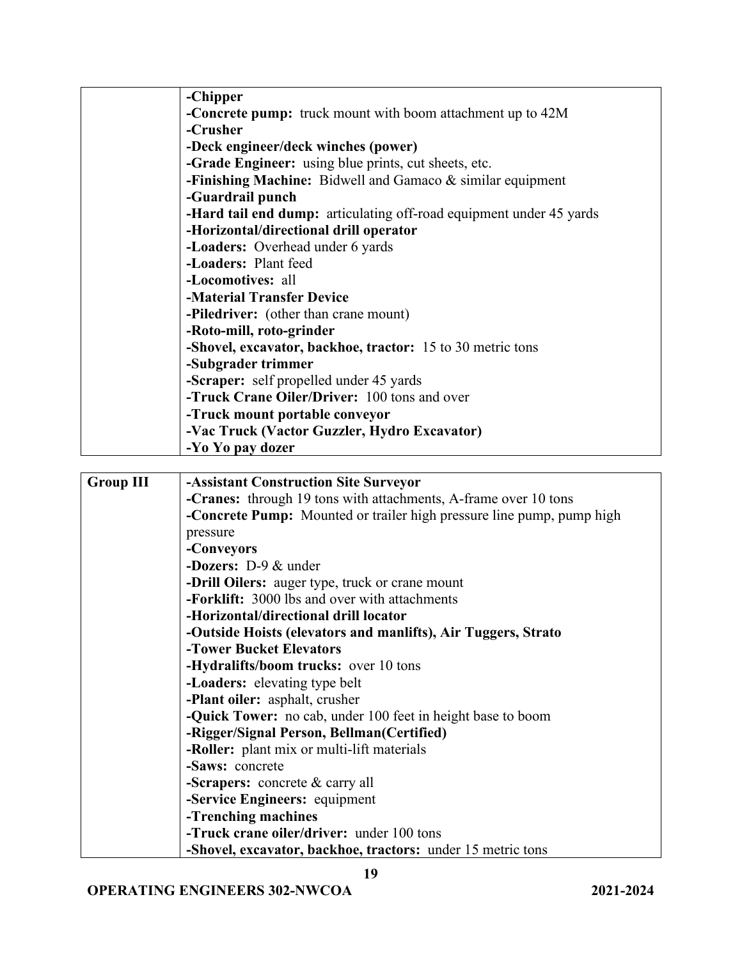|                  | -Chipper                                                                                                 |
|------------------|----------------------------------------------------------------------------------------------------------|
|                  | -Concrete pump: truck mount with boom attachment up to 42M                                               |
|                  | -Crusher                                                                                                 |
|                  | -Deck engineer/deck winches (power)                                                                      |
|                  | -Grade Engineer: using blue prints, cut sheets, etc.                                                     |
|                  | -Finishing Machine: Bidwell and Gamaco & similar equipment                                               |
|                  | -Guardrail punch                                                                                         |
|                  | -Hard tail end dump: articulating off-road equipment under 45 yards                                      |
|                  | -Horizontal/directional drill operator                                                                   |
|                  | -Loaders: Overhead under 6 yards                                                                         |
|                  | -Loaders: Plant feed                                                                                     |
|                  | -Locomotives: all                                                                                        |
|                  | -Material Transfer Device                                                                                |
|                  | -Piledriver: (other than crane mount)                                                                    |
|                  | -Roto-mill, roto-grinder                                                                                 |
|                  | -Shovel, excavator, backhoe, tractor: 15 to 30 metric tons                                               |
|                  | -Subgrader trimmer                                                                                       |
|                  | -Scraper: self propelled under 45 yards                                                                  |
|                  | -Truck Crane Oiler/Driver: 100 tons and over                                                             |
|                  | -Truck mount portable conveyor                                                                           |
|                  | -Vac Truck (Vactor Guzzler, Hydro Excavator)                                                             |
|                  | -Yo Yo pay dozer                                                                                         |
|                  |                                                                                                          |
| <b>Group III</b> | <b>-Assistant Construction Site Surveyor</b>                                                             |
|                  |                                                                                                          |
|                  |                                                                                                          |
|                  | -Cranes: through 19 tons with attachments, A-frame over 10 tons                                          |
|                  | -Concrete Pump: Mounted or trailer high pressure line pump, pump high                                    |
|                  | pressure                                                                                                 |
|                  | -Conveyors                                                                                               |
|                  | -Dozers: D-9 & under                                                                                     |
|                  | -Drill Oilers: auger type, truck or crane mount                                                          |
|                  | -Forklift: 3000 lbs and over with attachments                                                            |
|                  | -Horizontal/directional drill locator                                                                    |
|                  | -Outside Hoists (elevators and manlifts), Air Tuggers, Strato                                            |
|                  | -Tower Bucket Elevators                                                                                  |
|                  | -Hydralifts/boom trucks: over 10 tons                                                                    |
|                  | -Loaders: elevating type belt                                                                            |
|                  | -Plant oiler: asphalt, crusher                                                                           |
|                  | <b>-Quick Tower:</b> no cab, under 100 feet in height base to boom                                       |
|                  | -Rigger/Signal Person, Bellman(Certified)                                                                |
|                  | -Roller: plant mix or multi-lift materials                                                               |
|                  | -Saws: concrete                                                                                          |
|                  | -Scrapers: concrete & carry all                                                                          |
|                  | -Service Engineers: equipment                                                                            |
|                  | -Trenching machines                                                                                      |
|                  | -Truck crane oiler/driver: under 100 tons<br>-Shovel, excavator, backhoe, tractors: under 15 metric tons |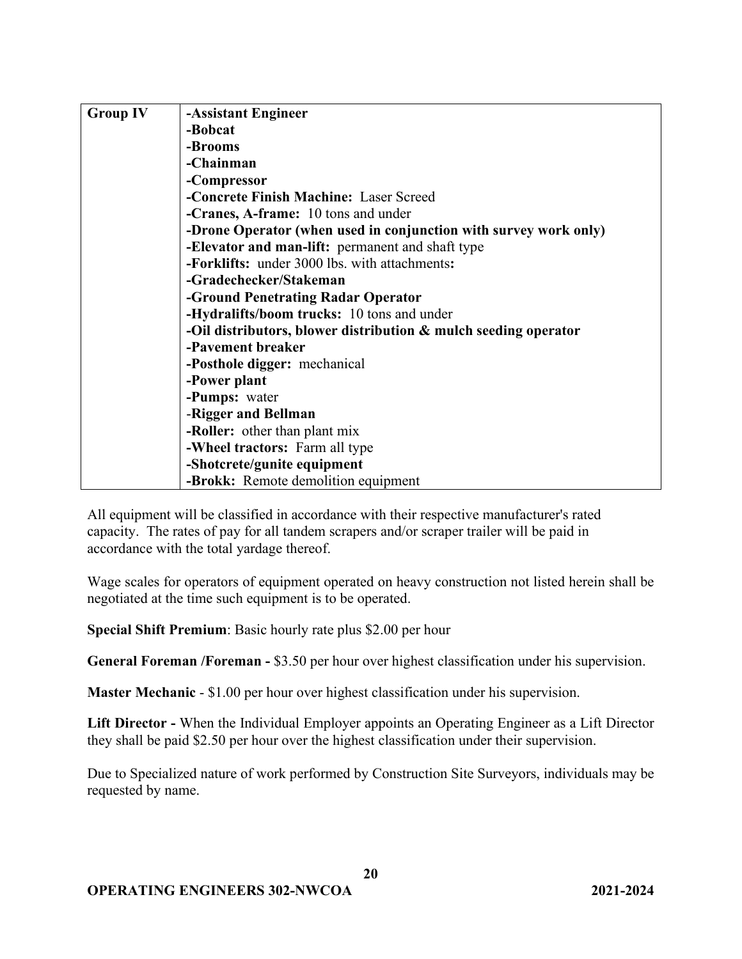| <b>Group IV</b> | -Assistant Engineer                                              |
|-----------------|------------------------------------------------------------------|
|                 | -Bobcat                                                          |
|                 | -Brooms                                                          |
|                 | -Chainman                                                        |
|                 | -Compressor                                                      |
|                 | -Concrete Finish Machine: Laser Screed                           |
|                 | -Cranes, A-frame: 10 tons and under                              |
|                 | -Drone Operator (when used in conjunction with survey work only) |
|                 | -Elevator and man-lift: permanent and shaft type                 |
|                 | -Forklifts: under 3000 lbs. with attachments:                    |
|                 | -Gradechecker/Stakeman                                           |
|                 | -Ground Penetrating Radar Operator                               |
|                 | -Hydralifts/boom trucks: 10 tons and under                       |
|                 | -Oil distributors, blower distribution & mulch seeding operator  |
|                 | -Pavement breaker                                                |
|                 | -Posthole digger: mechanical                                     |
|                 | -Power plant                                                     |
|                 | -Pumps: water                                                    |
|                 | -Rigger and Bellman                                              |
|                 | -Roller: other than plant mix                                    |
|                 | -Wheel tractors: Farm all type                                   |
|                 | -Shotcrete/gunite equipment                                      |
|                 | -Brokk: Remote demolition equipment                              |

All equipment will be classified in accordance with their respective manufacturer's rated capacity. The rates of pay for all tandem scrapers and/or scraper trailer will be paid in accordance with the total yardage thereof.

Wage scales for operators of equipment operated on heavy construction not listed herein shall be negotiated at the time such equipment is to be operated.

**Special Shift Premium**: Basic hourly rate plus \$2.00 per hour

**General Foreman /Foreman -** \$3.50 per hour over highest classification under his supervision.

**Master Mechanic** - \$1.00 per hour over highest classification under his supervision.

**Lift Director -** When the Individual Employer appoints an Operating Engineer as a Lift Director they shall be paid \$2.50 per hour over the highest classification under their supervision.

Due to Specialized nature of work performed by Construction Site Surveyors, individuals may be requested by name.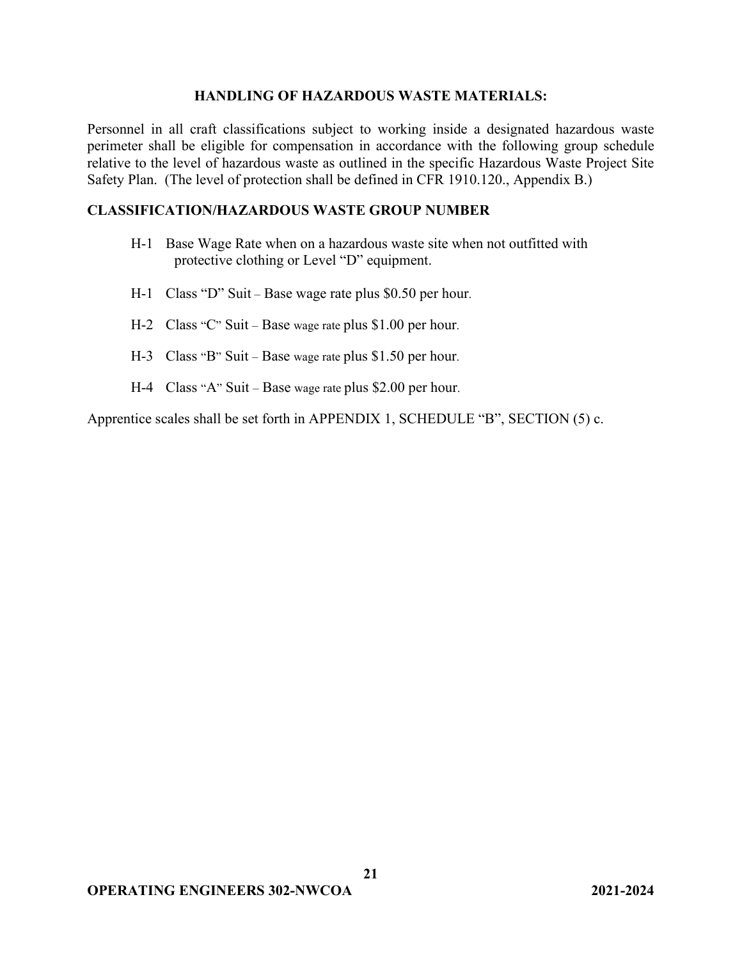#### **HANDLING OF HAZARDOUS WASTE MATERIALS:**

Personnel in all craft classifications subject to working inside a designated hazardous waste perimeter shall be eligible for compensation in accordance with the following group schedule relative to the level of hazardous waste as outlined in the specific Hazardous Waste Project Site Safety Plan. (The level of protection shall be defined in CFR 1910.120., Appendix B.)

### **CLASSIFICATION/HAZARDOUS WASTE GROUP NUMBER**

- H-1 Base Wage Rate when on a hazardous waste site when not outfitted with protective clothing or Level "D" equipment.
- H-1 Class "D" Suit Base wage rate plus \$0.50 per hour.
- H-2 Class "C" Suit Base wage rate plus \$1.00 per hour.
- H-3 Class "B" Suit Base wage rate plus \$1.50 per hour.
- H-4 Class "A" Suit Base wage rate plus \$2.00 per hour.

Apprentice scales shall be set forth in APPENDIX 1, SCHEDULE "B", SECTION (5) c.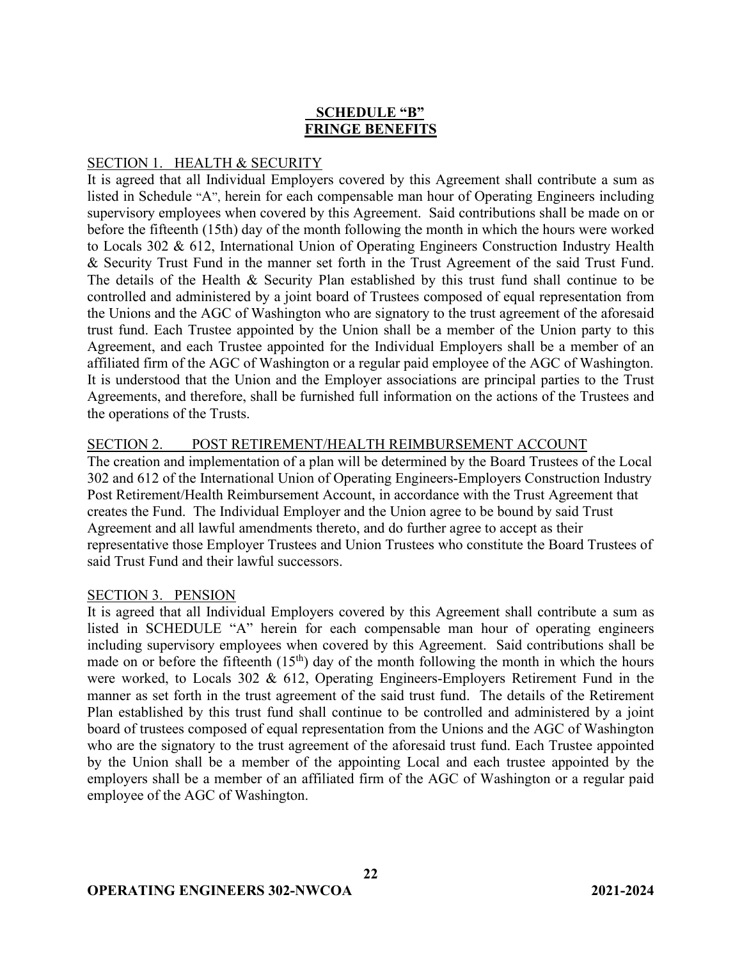## **SCHEDULE "B" FRINGE BENEFITS**

## SECTION 1. HEALTH & SECURITY

It is agreed that all Individual Employers covered by this Agreement shall contribute a sum as listed in Schedule "A", herein for each compensable man hour of Operating Engineers including supervisory employees when covered by this Agreement. Said contributions shall be made on or before the fifteenth (15th) day of the month following the month in which the hours were worked to Locals 302 & 612, International Union of Operating Engineers Construction Industry Health & Security Trust Fund in the manner set forth in the Trust Agreement of the said Trust Fund. The details of the Health & Security Plan established by this trust fund shall continue to be controlled and administered by a joint board of Trustees composed of equal representation from the Unions and the AGC of Washington who are signatory to the trust agreement of the aforesaid trust fund. Each Trustee appointed by the Union shall be a member of the Union party to this Agreement, and each Trustee appointed for the Individual Employers shall be a member of an affiliated firm of the AGC of Washington or a regular paid employee of the AGC of Washington. It is understood that the Union and the Employer associations are principal parties to the Trust Agreements, and therefore, shall be furnished full information on the actions of the Trustees and the operations of the Trusts.

### SECTION 2. POST RETIREMENT/HEALTH REIMBURSEMENT ACCOUNT

The creation and implementation of a plan will be determined by the Board Trustees of the Local 302 and 612 of the International Union of Operating Engineers-Employers Construction Industry Post Retirement/Health Reimbursement Account, in accordance with the Trust Agreement that creates the Fund. The Individual Employer and the Union agree to be bound by said Trust Agreement and all lawful amendments thereto, and do further agree to accept as their representative those Employer Trustees and Union Trustees who constitute the Board Trustees of said Trust Fund and their lawful successors.

### SECTION 3. PENSION

It is agreed that all Individual Employers covered by this Agreement shall contribute a sum as listed in SCHEDULE "A" herein for each compensable man hour of operating engineers including supervisory employees when covered by this Agreement. Said contributions shall be made on or before the fifteenth  $(15<sup>th</sup>)$  day of the month following the month in which the hours were worked, to Locals 302 & 612, Operating Engineers-Employers Retirement Fund in the manner as set forth in the trust agreement of the said trust fund. The details of the Retirement Plan established by this trust fund shall continue to be controlled and administered by a joint board of trustees composed of equal representation from the Unions and the AGC of Washington who are the signatory to the trust agreement of the aforesaid trust fund. Each Trustee appointed by the Union shall be a member of the appointing Local and each trustee appointed by the employers shall be a member of an affiliated firm of the AGC of Washington or a regular paid employee of the AGC of Washington.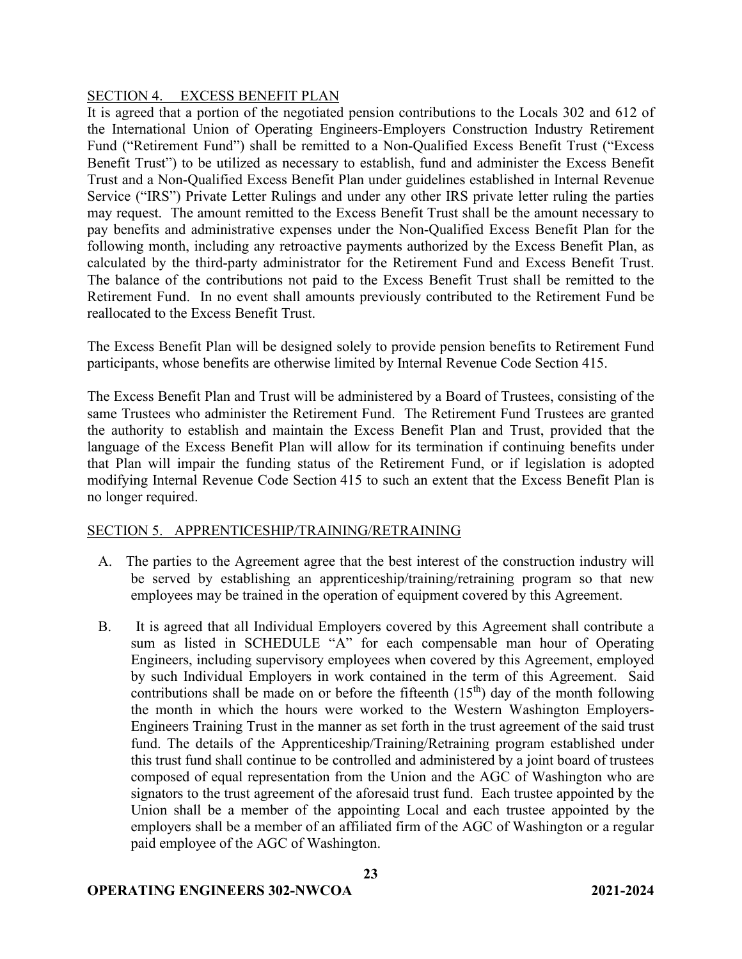### SECTION 4. EXCESS BENEFIT PLAN

It is agreed that a portion of the negotiated pension contributions to the Locals 302 and 612 of the International Union of Operating Engineers-Employers Construction Industry Retirement Fund ("Retirement Fund") shall be remitted to a Non-Qualified Excess Benefit Trust ("Excess Benefit Trust") to be utilized as necessary to establish, fund and administer the Excess Benefit Trust and a Non-Qualified Excess Benefit Plan under guidelines established in Internal Revenue Service ("IRS") Private Letter Rulings and under any other IRS private letter ruling the parties may request. The amount remitted to the Excess Benefit Trust shall be the amount necessary to pay benefits and administrative expenses under the Non-Qualified Excess Benefit Plan for the following month, including any retroactive payments authorized by the Excess Benefit Plan, as calculated by the third-party administrator for the Retirement Fund and Excess Benefit Trust. The balance of the contributions not paid to the Excess Benefit Trust shall be remitted to the Retirement Fund. In no event shall amounts previously contributed to the Retirement Fund be reallocated to the Excess Benefit Trust.

The Excess Benefit Plan will be designed solely to provide pension benefits to Retirement Fund participants, whose benefits are otherwise limited by Internal Revenue Code Section 415.

The Excess Benefit Plan and Trust will be administered by a Board of Trustees, consisting of the same Trustees who administer the Retirement Fund. The Retirement Fund Trustees are granted the authority to establish and maintain the Excess Benefit Plan and Trust, provided that the language of the Excess Benefit Plan will allow for its termination if continuing benefits under that Plan will impair the funding status of the Retirement Fund, or if legislation is adopted modifying Internal Revenue Code Section 415 to such an extent that the Excess Benefit Plan is no longer required.

### SECTION 5. APPRENTICESHIP/TRAINING/RETRAINING

- A. The parties to the Agreement agree that the best interest of the construction industry will be served by establishing an apprenticeship/training/retraining program so that new employees may be trained in the operation of equipment covered by this Agreement.
- B. It is agreed that all Individual Employers covered by this Agreement shall contribute a sum as listed in SCHEDULE "A" for each compensable man hour of Operating Engineers, including supervisory employees when covered by this Agreement, employed by such Individual Employers in work contained in the term of this Agreement. Said contributions shall be made on or before the fifteenth  $(15<sup>th</sup>)$  day of the month following the month in which the hours were worked to the Western Washington Employers-Engineers Training Trust in the manner as set forth in the trust agreement of the said trust fund. The details of the Apprenticeship/Training/Retraining program established under this trust fund shall continue to be controlled and administered by a joint board of trustees composed of equal representation from the Union and the AGC of Washington who are signators to the trust agreement of the aforesaid trust fund. Each trustee appointed by the Union shall be a member of the appointing Local and each trustee appointed by the employers shall be a member of an affiliated firm of the AGC of Washington or a regular paid employee of the AGC of Washington.

**23**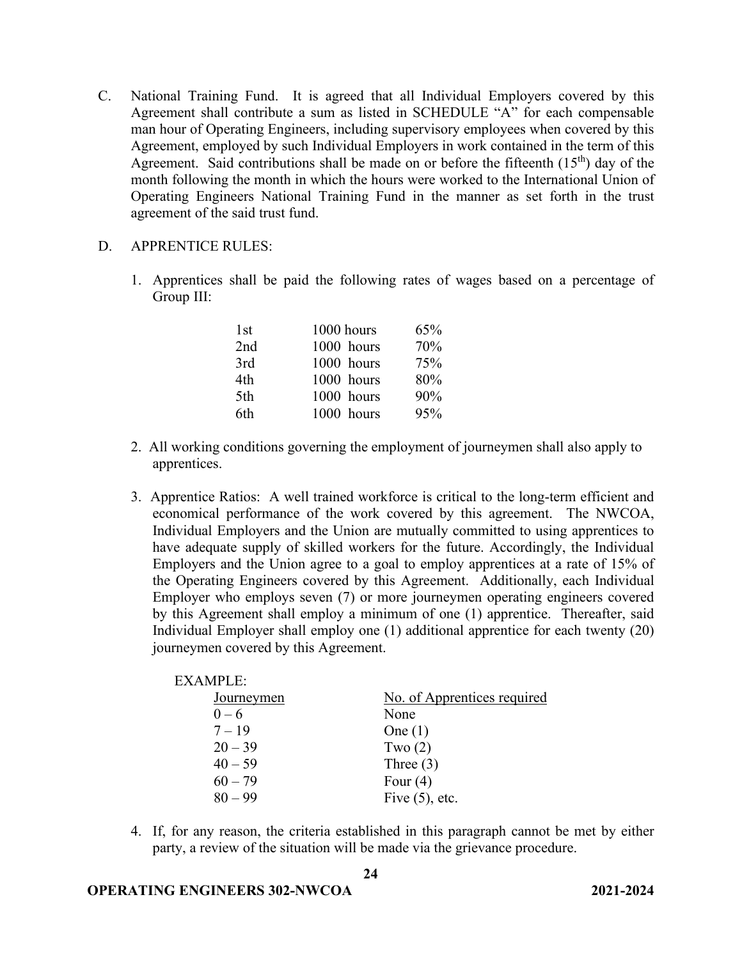- C. National Training Fund. It is agreed that all Individual Employers covered by this Agreement shall contribute a sum as listed in SCHEDULE "A" for each compensable man hour of Operating Engineers, including supervisory employees when covered by this Agreement, employed by such Individual Employers in work contained in the term of this Agreement. Said contributions shall be made on or before the fifteenth  $(15<sup>th</sup>)$  day of the month following the month in which the hours were worked to the International Union of Operating Engineers National Training Fund in the manner as set forth in the trust agreement of the said trust fund.
- D. APPRENTICE RULES:
	- 1. Apprentices shall be paid the following rates of wages based on a percentage of Group III:

| 1st | 1000 hours | 65% |
|-----|------------|-----|
| 2nd | 1000 hours | 70% |
| 3rd | 1000 hours | 75% |
| 4th | 1000 hours | 80% |
| 5th | 1000 hours | 90% |
| 6th | 1000 hours | 95% |

- 2. All working conditions governing the employment of journeymen shall also apply to apprentices.
- 3. Apprentice Ratios: A well trained workforce is critical to the long-term efficient and economical performance of the work covered by this agreement. The NWCOA, Individual Employers and the Union are mutually committed to using apprentices to have adequate supply of skilled workers for the future. Accordingly, the Individual Employers and the Union agree to a goal to employ apprentices at a rate of 15% of the Operating Engineers covered by this Agreement. Additionally, each Individual Employer who employs seven (7) or more journeymen operating engineers covered by this Agreement shall employ a minimum of one (1) apprentice. Thereafter, said Individual Employer shall employ one (1) additional apprentice for each twenty (20) journeymen covered by this Agreement.

| <b>EXAMPLE:</b> |                             |
|-----------------|-----------------------------|
| Journeymen      | No. of Apprentices required |
| $0 - 6$         | None                        |
| $7 - 19$        | One $(1)$                   |
| $20 - 39$       | Two $(2)$                   |
| $40 - 59$       | Three $(3)$                 |
| $60 - 79$       | Four $(4)$                  |
| $80 - 99$       | Five $(5)$ , etc.           |
|                 |                             |

4. If, for any reason, the criteria established in this paragraph cannot be met by either party, a review of the situation will be made via the grievance procedure.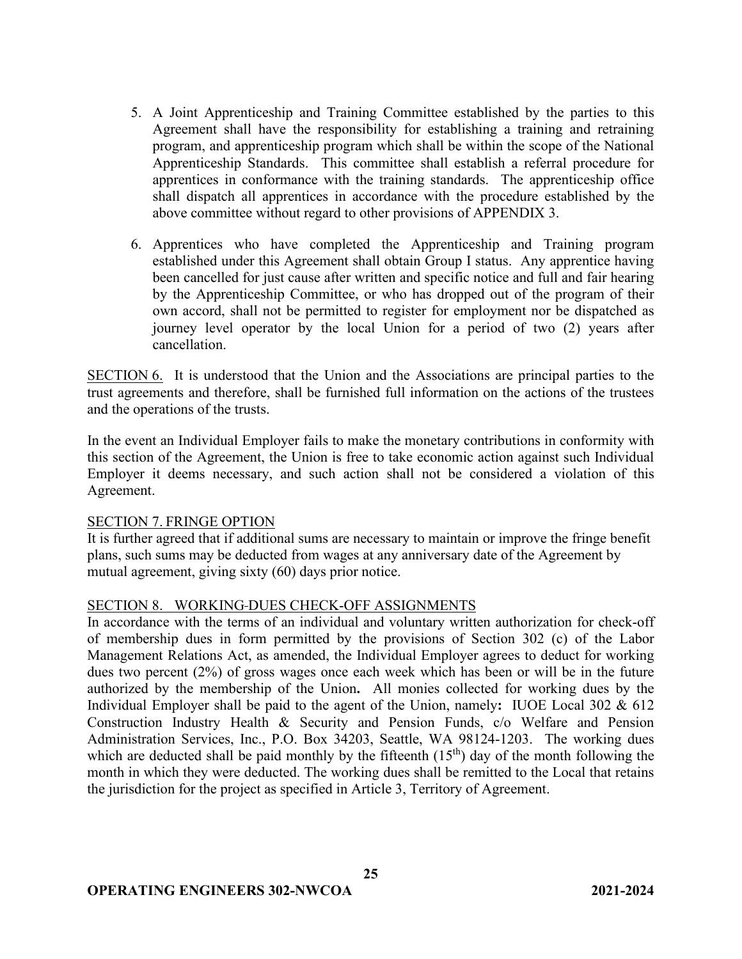- 5. A Joint Apprenticeship and Training Committee established by the parties to this Agreement shall have the responsibility for establishing a training and retraining program, and apprenticeship program which shall be within the scope of the National Apprenticeship Standards. This committee shall establish a referral procedure for apprentices in conformance with the training standards. The apprenticeship office shall dispatch all apprentices in accordance with the procedure established by the above committee without regard to other provisions of APPENDIX 3.
- 6. Apprentices who have completed the Apprenticeship and Training program established under this Agreement shall obtain Group I status. Any apprentice having been cancelled for just cause after written and specific notice and full and fair hearing by the Apprenticeship Committee, or who has dropped out of the program of their own accord, shall not be permitted to register for employment nor be dispatched as journey level operator by the local Union for a period of two (2) years after cancellation.

SECTION 6. It is understood that the Union and the Associations are principal parties to the trust agreements and therefore, shall be furnished full information on the actions of the trustees and the operations of the trusts.

In the event an Individual Employer fails to make the monetary contributions in conformity with this section of the Agreement, the Union is free to take economic action against such Individual Employer it deems necessary, and such action shall not be considered a violation of this Agreement.

### SECTION 7. FRINGE OPTION

It is further agreed that if additional sums are necessary to maintain or improve the fringe benefit plans, such sums may be deducted from wages at any anniversary date of the Agreement by mutual agreement, giving sixty (60) days prior notice.

### SECTION 8. WORKING DUES CHECK-OFF ASSIGNMENTS

In accordance with the terms of an individual and voluntary written authorization for check-off of membership dues in form permitted by the provisions of Section 302 (c) of the Labor Management Relations Act, as amended, the Individual Employer agrees to deduct for working dues two percent (2%) of gross wages once each week which has been or will be in the future authorized by the membership of the Union**.** All monies collected for working dues by the Individual Employer shall be paid to the agent of the Union, namely**:** IUOE Local 302 & 612 Construction Industry Health & Security and Pension Funds, c/o Welfare and Pension Administration Services, Inc., P.O. Box 34203, Seattle, WA 98124-1203. The working dues which are deducted shall be paid monthly by the fifteenth  $(15<sup>th</sup>)$  day of the month following the month in which they were deducted. The working dues shall be remitted to the Local that retains the jurisdiction for the project as specified in Article 3, Territory of Agreement.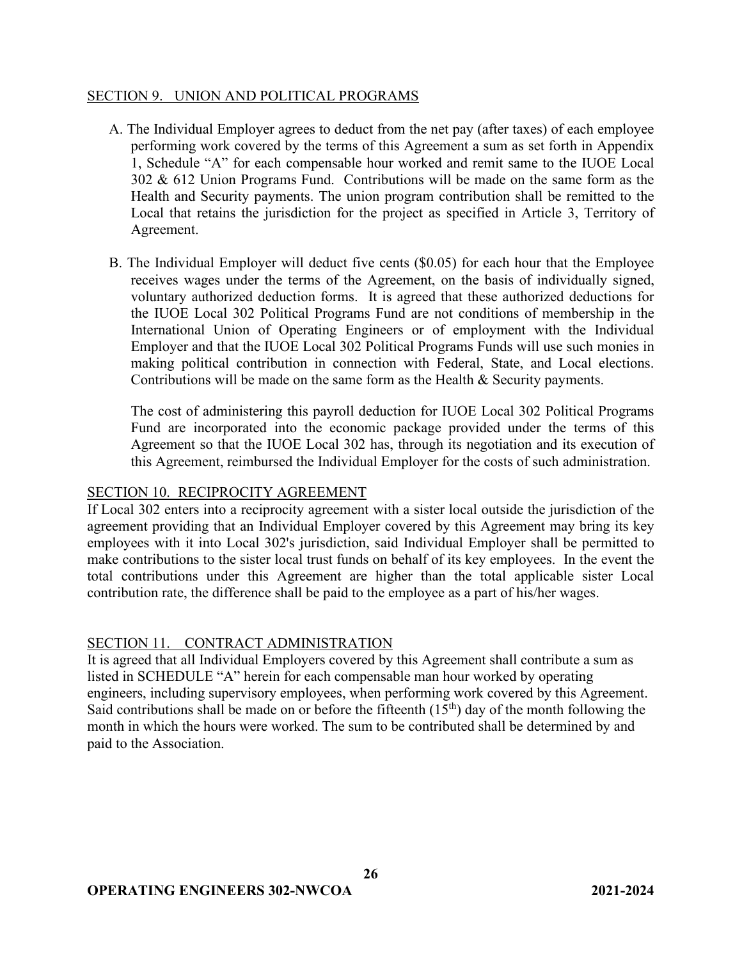### SECTION 9. UNION AND POLITICAL PROGRAMS

- A. The Individual Employer agrees to deduct from the net pay (after taxes) of each employee performing work covered by the terms of this Agreement a sum as set forth in Appendix 1, Schedule "A" for each compensable hour worked and remit same to the IUOE Local 302 & 612 Union Programs Fund. Contributions will be made on the same form as the Health and Security payments. The union program contribution shall be remitted to the Local that retains the jurisdiction for the project as specified in Article 3, Territory of Agreement.
- B. The Individual Employer will deduct five cents (\$0.05) for each hour that the Employee receives wages under the terms of the Agreement, on the basis of individually signed, voluntary authorized deduction forms. It is agreed that these authorized deductions for the IUOE Local 302 Political Programs Fund are not conditions of membership in the International Union of Operating Engineers or of employment with the Individual Employer and that the IUOE Local 302 Political Programs Funds will use such monies in making political contribution in connection with Federal, State, and Local elections. Contributions will be made on the same form as the Health & Security payments.

The cost of administering this payroll deduction for IUOE Local 302 Political Programs Fund are incorporated into the economic package provided under the terms of this Agreement so that the IUOE Local 302 has, through its negotiation and its execution of this Agreement, reimbursed the Individual Employer for the costs of such administration.

### SECTION 10. RECIPROCITY AGREEMENT

If Local 302 enters into a reciprocity agreement with a sister local outside the jurisdiction of the agreement providing that an Individual Employer covered by this Agreement may bring its key employees with it into Local 302's jurisdiction, said Individual Employer shall be permitted to make contributions to the sister local trust funds on behalf of its key employees. In the event the total contributions under this Agreement are higher than the total applicable sister Local contribution rate, the difference shall be paid to the employee as a part of his/her wages.

### SECTION 11. CONTRACT ADMINISTRATION

It is agreed that all Individual Employers covered by this Agreement shall contribute a sum as listed in SCHEDULE "A" herein for each compensable man hour worked by operating engineers, including supervisory employees, when performing work covered by this Agreement. Said contributions shall be made on or before the fifteenth  $(15<sup>th</sup>)$  day of the month following the month in which the hours were worked. The sum to be contributed shall be determined by and paid to the Association.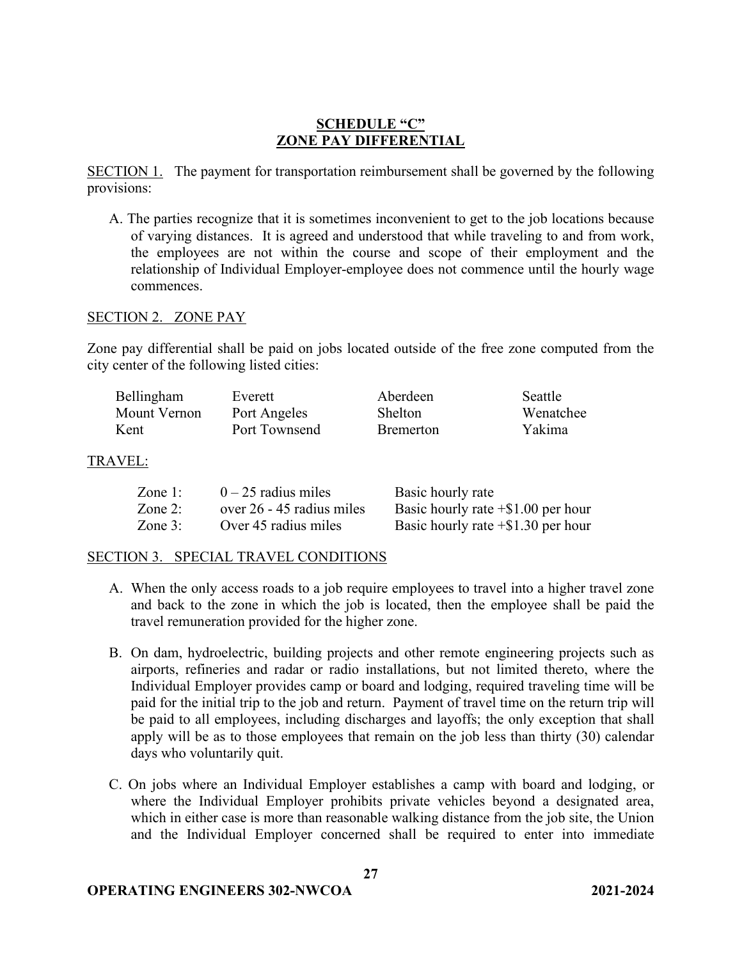## **SCHEDULE "C" ZONE PAY DIFFERENTIAL**

SECTION 1. The payment for transportation reimbursement shall be governed by the following provisions:

A. The parties recognize that it is sometimes inconvenient to get to the job locations because of varying distances. It is agreed and understood that while traveling to and from work, the employees are not within the course and scope of their employment and the relationship of Individual Employer-employee does not commence until the hourly wage commences.

#### SECTION 2. ZONE PAY

Zone pay differential shall be paid on jobs located outside of the free zone computed from the city center of the following listed cities:

| Bellingham   | Everett       | Aberdeen         | <b>Seattle</b> |
|--------------|---------------|------------------|----------------|
| Mount Vernon | Port Angeles  | <b>Shelton</b>   | Wenatchee      |
| Kent         | Port Townsend | <b>Bremerton</b> | Yakima         |

#### TRAVEL:

| Zone $1$ : | $0 - 25$ radius miles     | Basic hourly rate                     |
|------------|---------------------------|---------------------------------------|
| Zone $2$ : | over 26 - 45 radius miles | Basic hourly rate $+$ \$1.00 per hour |
| Zone $3$ : | Over 45 radius miles      | Basic hourly rate $+$ \$1.30 per hour |

### SECTION 3. SPECIAL TRAVEL CONDITIONS

- A. When the only access roads to a job require employees to travel into a higher travel zone and back to the zone in which the job is located, then the employee shall be paid the travel remuneration provided for the higher zone.
- B. On dam, hydroelectric, building projects and other remote engineering projects such as airports, refineries and radar or radio installations, but not limited thereto, where the Individual Employer provides camp or board and lodging, required traveling time will be paid for the initial trip to the job and return. Payment of travel time on the return trip will be paid to all employees, including discharges and layoffs; the only exception that shall apply will be as to those employees that remain on the job less than thirty (30) calendar days who voluntarily quit.
- C. On jobs where an Individual Employer establishes a camp with board and lodging, or where the Individual Employer prohibits private vehicles beyond a designated area, which in either case is more than reasonable walking distance from the job site, the Union and the Individual Employer concerned shall be required to enter into immediate

**27**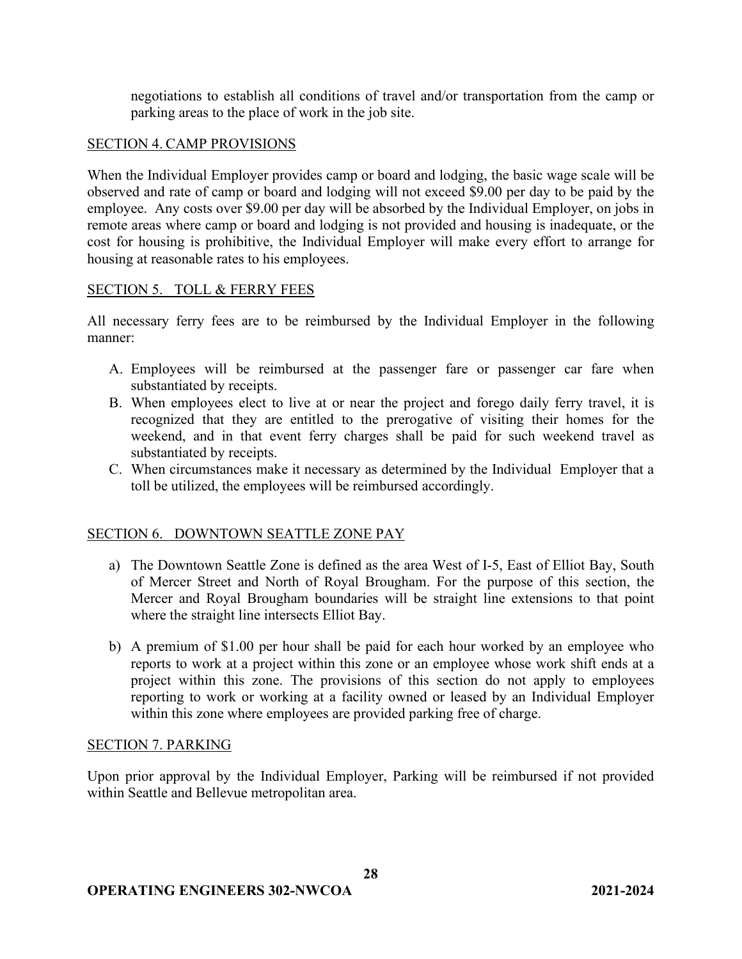negotiations to establish all conditions of travel and/or transportation from the camp or parking areas to the place of work in the job site.

## SECTION 4. CAMP PROVISIONS

When the Individual Employer provides camp or board and lodging, the basic wage scale will be observed and rate of camp or board and lodging will not exceed \$9.00 per day to be paid by the employee. Any costs over \$9.00 per day will be absorbed by the Individual Employer, on jobs in remote areas where camp or board and lodging is not provided and housing is inadequate, or the cost for housing is prohibitive, the Individual Employer will make every effort to arrange for housing at reasonable rates to his employees.

## SECTION 5. TOLL & FERRY FEES

All necessary ferry fees are to be reimbursed by the Individual Employer in the following manner:

- A. Employees will be reimbursed at the passenger fare or passenger car fare when substantiated by receipts.
- B. When employees elect to live at or near the project and forego daily ferry travel, it is recognized that they are entitled to the prerogative of visiting their homes for the weekend, and in that event ferry charges shall be paid for such weekend travel as substantiated by receipts.
- C. When circumstances make it necessary as determined by the Individual Employer that a toll be utilized, the employees will be reimbursed accordingly.

## SECTION 6. DOWNTOWN SEATTLE ZONE PAY

- a) The Downtown Seattle Zone is defined as the area West of I-5, East of Elliot Bay, South of Mercer Street and North of Royal Brougham. For the purpose of this section, the Mercer and Royal Brougham boundaries will be straight line extensions to that point where the straight line intersects Elliot Bay.
- b) A premium of \$1.00 per hour shall be paid for each hour worked by an employee who reports to work at a project within this zone or an employee whose work shift ends at a project within this zone. The provisions of this section do not apply to employees reporting to work or working at a facility owned or leased by an Individual Employer within this zone where employees are provided parking free of charge.

### SECTION 7. PARKING

Upon prior approval by the Individual Employer, Parking will be reimbursed if not provided within Seattle and Bellevue metropolitan area.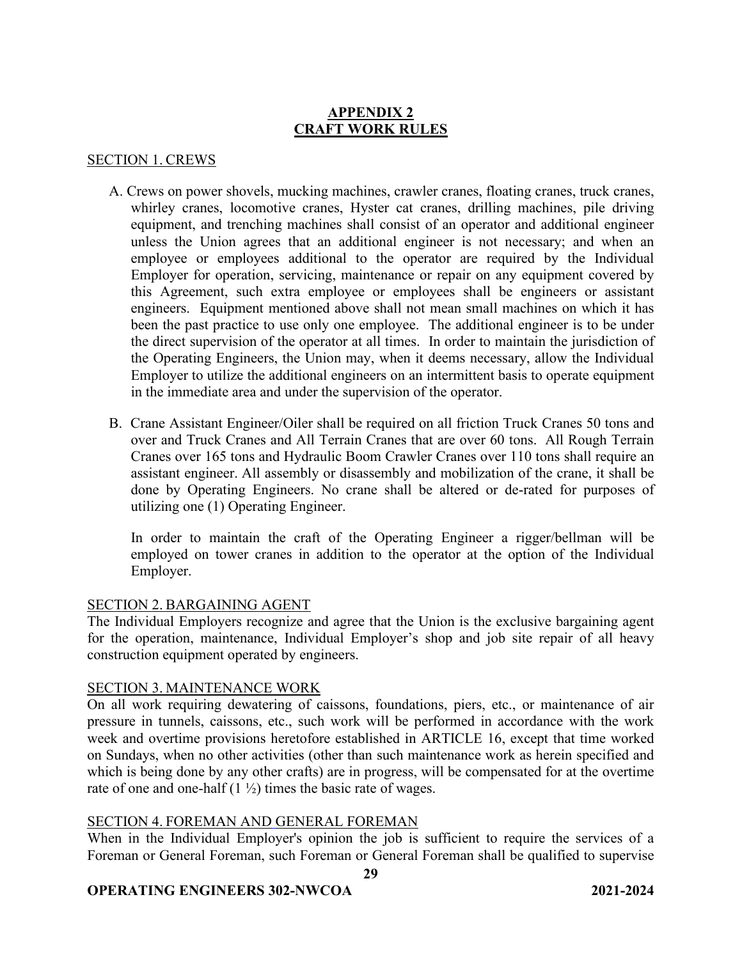# **APPENDIX 2 CRAFT WORK RULES**

### SECTION 1. CREWS

- A. Crews on power shovels, mucking machines, crawler cranes, floating cranes, truck cranes, whirley cranes, locomotive cranes, Hyster cat cranes, drilling machines, pile driving equipment, and trenching machines shall consist of an operator and additional engineer unless the Union agrees that an additional engineer is not necessary; and when an employee or employees additional to the operator are required by the Individual Employer for operation, servicing, maintenance or repair on any equipment covered by this Agreement, such extra employee or employees shall be engineers or assistant engineers. Equipment mentioned above shall not mean small machines on which it has been the past practice to use only one employee. The additional engineer is to be under the direct supervision of the operator at all times. In order to maintain the jurisdiction of the Operating Engineers, the Union may, when it deems necessary, allow the Individual Employer to utilize the additional engineers on an intermittent basis to operate equipment in the immediate area and under the supervision of the operator.
- B. Crane Assistant Engineer/Oiler shall be required on all friction Truck Cranes 50 tons and over and Truck Cranes and All Terrain Cranes that are over 60 tons. All Rough Terrain Cranes over 165 tons and Hydraulic Boom Crawler Cranes over 110 tons shall require an assistant engineer. All assembly or disassembly and mobilization of the crane, it shall be done by Operating Engineers. No crane shall be altered or de-rated for purposes of utilizing one (1) Operating Engineer.

In order to maintain the craft of the Operating Engineer a rigger/bellman will be employed on tower cranes in addition to the operator at the option of the Individual Employer.

#### SECTION 2. BARGAINING AGENT

The Individual Employers recognize and agree that the Union is the exclusive bargaining agent for the operation, maintenance, Individual Employer's shop and job site repair of all heavy construction equipment operated by engineers.

### SECTION 3. MAINTENANCE WORK

On all work requiring dewatering of caissons, foundations, piers, etc., or maintenance of air pressure in tunnels, caissons, etc., such work will be performed in accordance with the work week and overtime provisions heretofore established in ARTICLE 16, except that time worked on Sundays, when no other activities (other than such maintenance work as herein specified and which is being done by any other crafts) are in progress, will be compensated for at the overtime rate of one and one-half  $(1 \frac{1}{2})$  times the basic rate of wages.

### SECTION 4. FOREMAN AND GENERAL FOREMAN

When in the Individual Employer's opinion the job is sufficient to require the services of a Foreman or General Foreman, such Foreman or General Foreman shall be qualified to supervise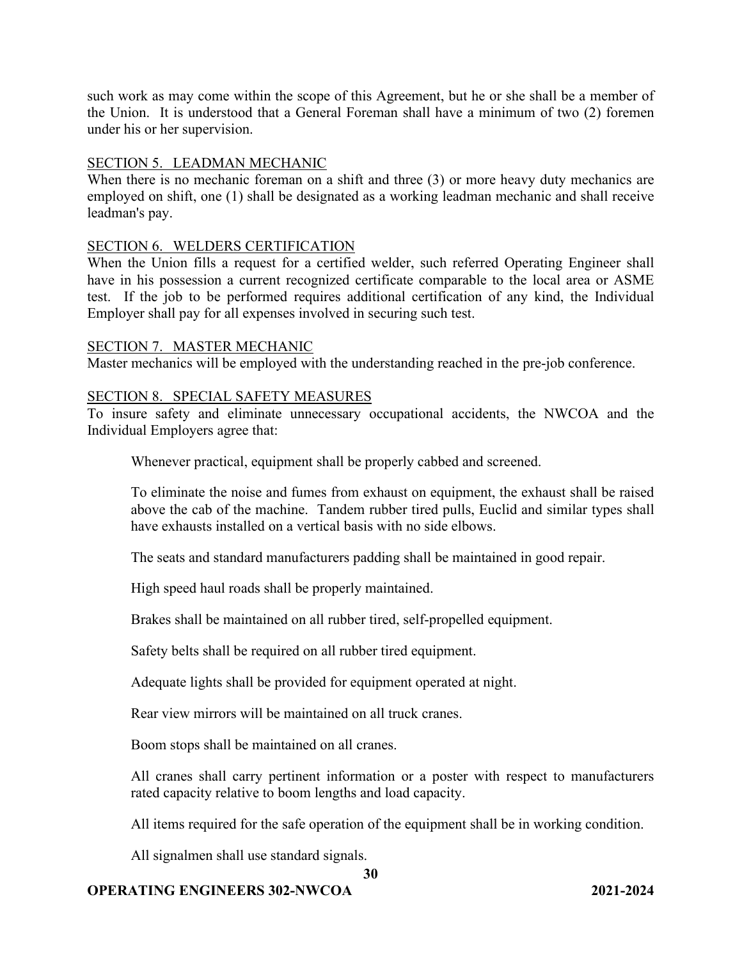such work as may come within the scope of this Agreement, but he or she shall be a member of the Union. It is understood that a General Foreman shall have a minimum of two (2) foremen under his or her supervision.

### SECTION 5. LEADMAN MECHANIC

When there is no mechanic foreman on a shift and three (3) or more heavy duty mechanics are employed on shift, one (1) shall be designated as a working leadman mechanic and shall receive leadman's pay.

#### SECTION 6. WELDERS CERTIFICATION

When the Union fills a request for a certified welder, such referred Operating Engineer shall have in his possession a current recognized certificate comparable to the local area or ASME test. If the job to be performed requires additional certification of any kind, the Individual Employer shall pay for all expenses involved in securing such test.

#### SECTION 7. MASTER MECHANIC

Master mechanics will be employed with the understanding reached in the pre-job conference.

#### SECTION 8. SPECIAL SAFETY MEASURES

To insure safety and eliminate unnecessary occupational accidents, the NWCOA and the Individual Employers agree that:

Whenever practical, equipment shall be properly cabbed and screened.

To eliminate the noise and fumes from exhaust on equipment, the exhaust shall be raised above the cab of the machine. Tandem rubber tired pulls, Euclid and similar types shall have exhausts installed on a vertical basis with no side elbows.

The seats and standard manufacturers padding shall be maintained in good repair.

High speed haul roads shall be properly maintained.

Brakes shall be maintained on all rubber tired, self-propelled equipment.

Safety belts shall be required on all rubber tired equipment.

Adequate lights shall be provided for equipment operated at night.

Rear view mirrors will be maintained on all truck cranes.

Boom stops shall be maintained on all cranes.

All cranes shall carry pertinent information or a poster with respect to manufacturers rated capacity relative to boom lengths and load capacity.

All items required for the safe operation of the equipment shall be in working condition.

All signalmen shall use standard signals.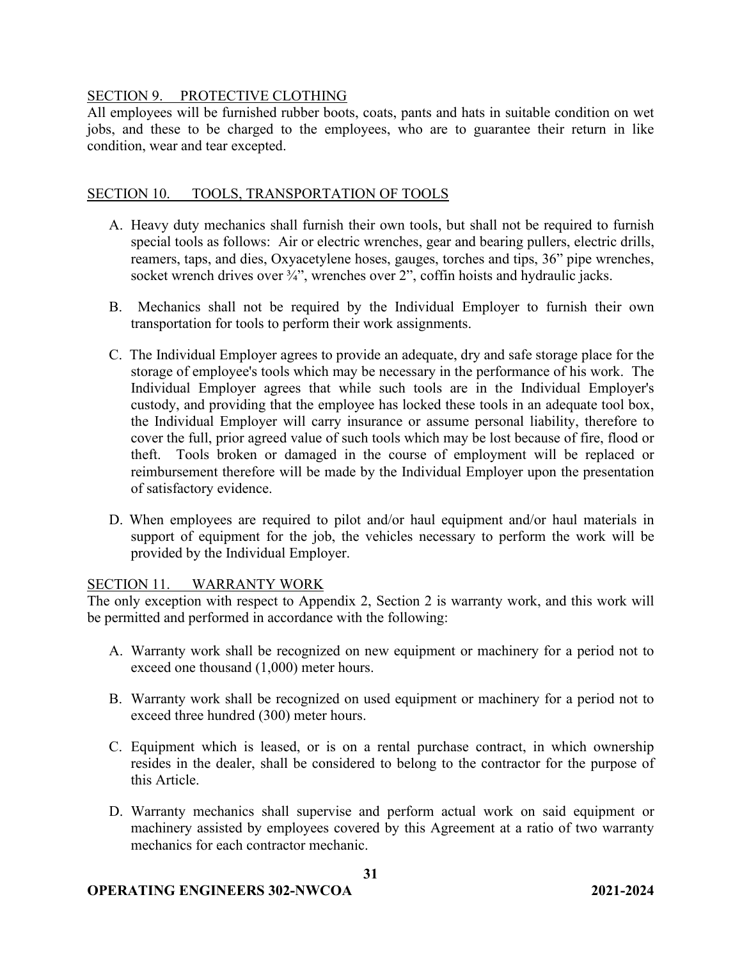### SECTION 9. PROTECTIVE CLOTHING

All employees will be furnished rubber boots, coats, pants and hats in suitable condition on wet jobs, and these to be charged to the employees, who are to guarantee their return in like condition, wear and tear excepted.

### SECTION 10. TOOLS, TRANSPORTATION OF TOOLS

- A. Heavy duty mechanics shall furnish their own tools, but shall not be required to furnish special tools as follows: Air or electric wrenches, gear and bearing pullers, electric drills, reamers, taps, and dies, Oxyacetylene hoses, gauges, torches and tips, 36" pipe wrenches, socket wrench drives over  $\frac{3}{4}$ ", wrenches over 2", coffin hoists and hydraulic jacks.
- B. Mechanics shall not be required by the Individual Employer to furnish their own transportation for tools to perform their work assignments.
- C. The Individual Employer agrees to provide an adequate, dry and safe storage place for the storage of employee's tools which may be necessary in the performance of his work. The Individual Employer agrees that while such tools are in the Individual Employer's custody, and providing that the employee has locked these tools in an adequate tool box, the Individual Employer will carry insurance or assume personal liability, therefore to cover the full, prior agreed value of such tools which may be lost because of fire, flood or theft. Tools broken or damaged in the course of employment will be replaced or reimbursement therefore will be made by the Individual Employer upon the presentation of satisfactory evidence.
- D. When employees are required to pilot and/or haul equipment and/or haul materials in support of equipment for the job, the vehicles necessary to perform the work will be provided by the Individual Employer.

### SECTION 11. WARRANTY WORK

The only exception with respect to Appendix 2, Section 2 is warranty work, and this work will be permitted and performed in accordance with the following:

- A. Warranty work shall be recognized on new equipment or machinery for a period not to exceed one thousand (1,000) meter hours.
- B. Warranty work shall be recognized on used equipment or machinery for a period not to exceed three hundred (300) meter hours.
- C. Equipment which is leased, or is on a rental purchase contract, in which ownership resides in the dealer, shall be considered to belong to the contractor for the purpose of this Article.
- D. Warranty mechanics shall supervise and perform actual work on said equipment or machinery assisted by employees covered by this Agreement at a ratio of two warranty mechanics for each contractor mechanic.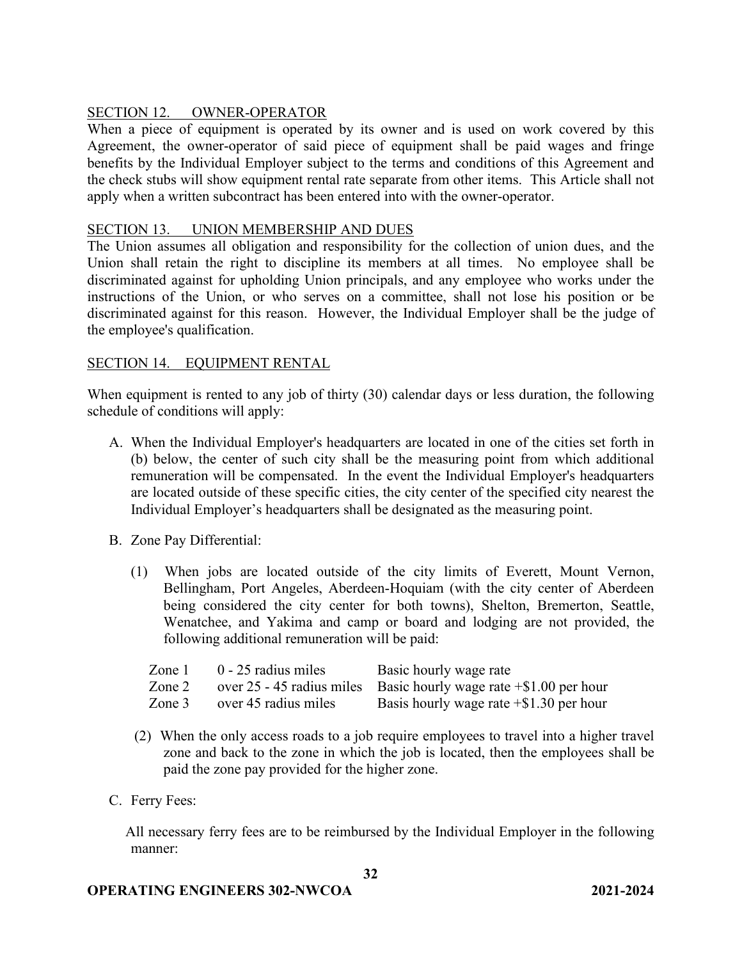## SECTION 12. OWNER-OPERATOR

When a piece of equipment is operated by its owner and is used on work covered by this Agreement, the owner-operator of said piece of equipment shall be paid wages and fringe benefits by the Individual Employer subject to the terms and conditions of this Agreement and the check stubs will show equipment rental rate separate from other items. This Article shall not apply when a written subcontract has been entered into with the owner-operator.

### SECTION 13. UNION MEMBERSHIP AND DUES

The Union assumes all obligation and responsibility for the collection of union dues, and the Union shall retain the right to discipline its members at all times. No employee shall be discriminated against for upholding Union principals, and any employee who works under the instructions of the Union, or who serves on a committee, shall not lose his position or be discriminated against for this reason. However, the Individual Employer shall be the judge of the employee's qualification.

### SECTION 14. EQUIPMENT RENTAL

When equipment is rented to any job of thirty (30) calendar days or less duration, the following schedule of conditions will apply:

- A. When the Individual Employer's headquarters are located in one of the cities set forth in (b) below, the center of such city shall be the measuring point from which additional remuneration will be compensated. In the event the Individual Employer's headquarters are located outside of these specific cities, the city center of the specified city nearest the Individual Employer's headquarters shall be designated as the measuring point.
- B. Zone Pay Differential:
	- (1) When jobs are located outside of the city limits of Everett, Mount Vernon, Bellingham, Port Angeles, Aberdeen-Hoquiam (with the city center of Aberdeen being considered the city center for both towns), Shelton, Bremerton, Seattle, Wenatchee, and Yakima and camp or board and lodging are not provided, the following additional remuneration will be paid:

| Zone 1 | $0 - 25$ radius miles | Basic hourly wage rate                                                 |
|--------|-----------------------|------------------------------------------------------------------------|
| Zone 2 |                       | over 25 - 45 radius miles Basic hourly wage rate $\pm$ \$1.00 per hour |
| Zone 3 | over 45 radius miles  | Basis hourly wage rate $+$ \$1.30 per hour                             |

- (2) When the only access roads to a job require employees to travel into a higher travel zone and back to the zone in which the job is located, then the employees shall be paid the zone pay provided for the higher zone.
- C. Ferry Fees:

All necessary ferry fees are to be reimbursed by the Individual Employer in the following manner: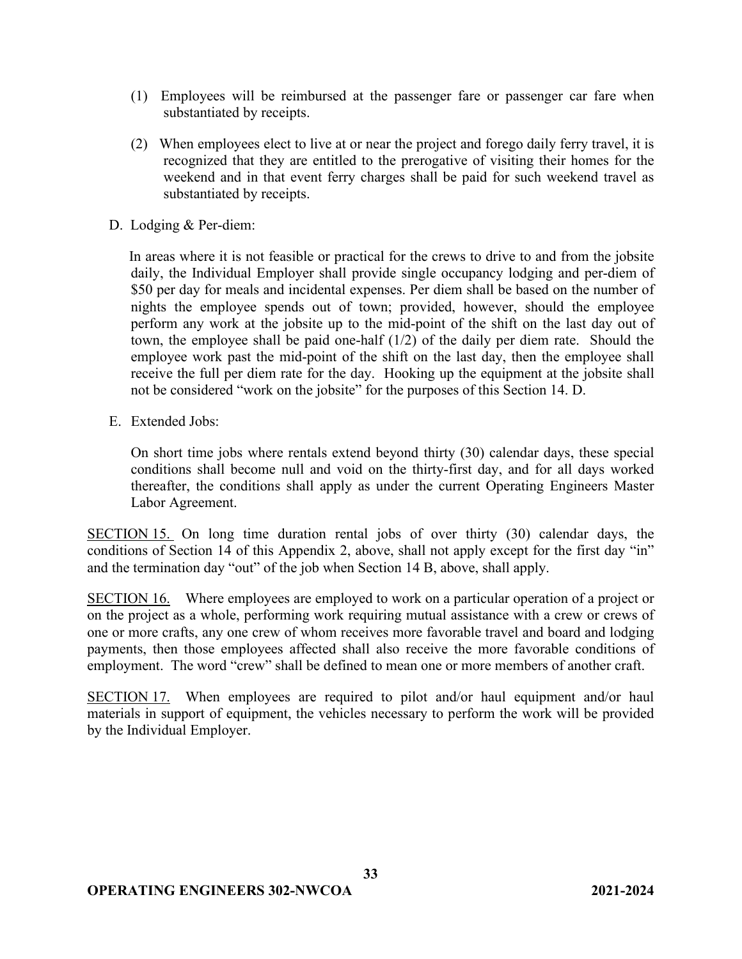- (1) Employees will be reimbursed at the passenger fare or passenger car fare when substantiated by receipts.
- (2) When employees elect to live at or near the project and forego daily ferry travel, it is recognized that they are entitled to the prerogative of visiting their homes for the weekend and in that event ferry charges shall be paid for such weekend travel as substantiated by receipts.
- D. Lodging & Per-diem:

In areas where it is not feasible or practical for the crews to drive to and from the jobsite daily, the Individual Employer shall provide single occupancy lodging and per-diem of \$50 per day for meals and incidental expenses. Per diem shall be based on the number of nights the employee spends out of town; provided, however, should the employee perform any work at the jobsite up to the mid-point of the shift on the last day out of town, the employee shall be paid one-half (1/2) of the daily per diem rate. Should the employee work past the mid-point of the shift on the last day, then the employee shall receive the full per diem rate for the day. Hooking up the equipment at the jobsite shall not be considered "work on the jobsite" for the purposes of this Section 14. D.

E. Extended Jobs:

On short time jobs where rentals extend beyond thirty (30) calendar days, these special conditions shall become null and void on the thirty-first day, and for all days worked thereafter, the conditions shall apply as under the current Operating Engineers Master Labor Agreement.

SECTION 15. On long time duration rental jobs of over thirty (30) calendar days, the conditions of Section 14 of this Appendix 2, above, shall not apply except for the first day "in" and the termination day "out" of the job when Section 14 B, above, shall apply.

SECTION 16. Where employees are employed to work on a particular operation of a project or on the project as a whole, performing work requiring mutual assistance with a crew or crews of one or more crafts, any one crew of whom receives more favorable travel and board and lodging payments, then those employees affected shall also receive the more favorable conditions of employment. The word "crew" shall be defined to mean one or more members of another craft.

SECTION 17. When employees are required to pilot and/or haul equipment and/or haul materials in support of equipment, the vehicles necessary to perform the work will be provided by the Individual Employer.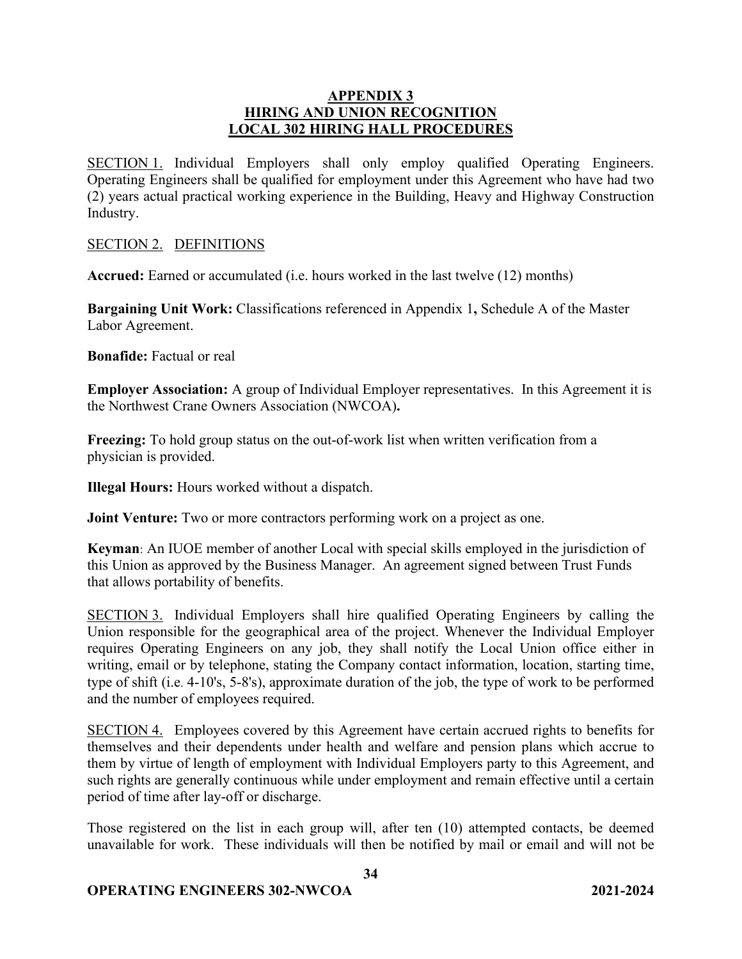### **APPENDIX 3 HIRING AND UNION RECOGNITION LOCAL 302 HIRING HALL PROCEDURES**

SECTION 1. Individual Employers shall only employ qualified Operating Engineers. Operating Engineers shall be qualified for employment under this Agreement who have had two (2) years actual practical working experience in the Building, Heavy and Highway Construction Industry.

### SECTION 2. DEFINITIONS

**Accrued:** Earned or accumulated (i.e. hours worked in the last twelve (12) months)

**Bargaining Unit Work:** Classifications referenced in Appendix 1**,** Schedule A of the Master Labor Agreement.

**Bonafide:** Factual or real

**Employer Association:** A group of Individual Employer representatives. In this Agreement it is the Northwest Crane Owners Association (NWCOA)**.**

**Freezing:** To hold group status on the out-of-work list when written verification from a physician is provided.

**Illegal Hours:** Hours worked without a dispatch.

**Joint Venture:** Two or more contractors performing work on a project as one.

**Keyman**: An IUOE member of another Local with special skills employed in the jurisdiction of this Union as approved by the Business Manager. An agreement signed between Trust Funds that allows portability of benefits.

SECTION 3. Individual Employers shall hire qualified Operating Engineers by calling the Union responsible for the geographical area of the project. Whenever the Individual Employer requires Operating Engineers on any job, they shall notify the Local Union office either in writing, email or by telephone, stating the Company contact information, location, starting time, type of shift (i.e. 4-10's, 5-8's), approximate duration of the job, the type of work to be performed and the number of employees required.

SECTION 4. Employees covered by this Agreement have certain accrued rights to benefits for themselves and their dependents under health and welfare and pension plans which accrue to them by virtue of length of employment with Individual Employers party to this Agreement, and such rights are generally continuous while under employment and remain effective until a certain period of time after lay-off or discharge.

Those registered on the list in each group will, after ten (10) attempted contacts, be deemed unavailable for work. These individuals will then be notified by mail or email and will not be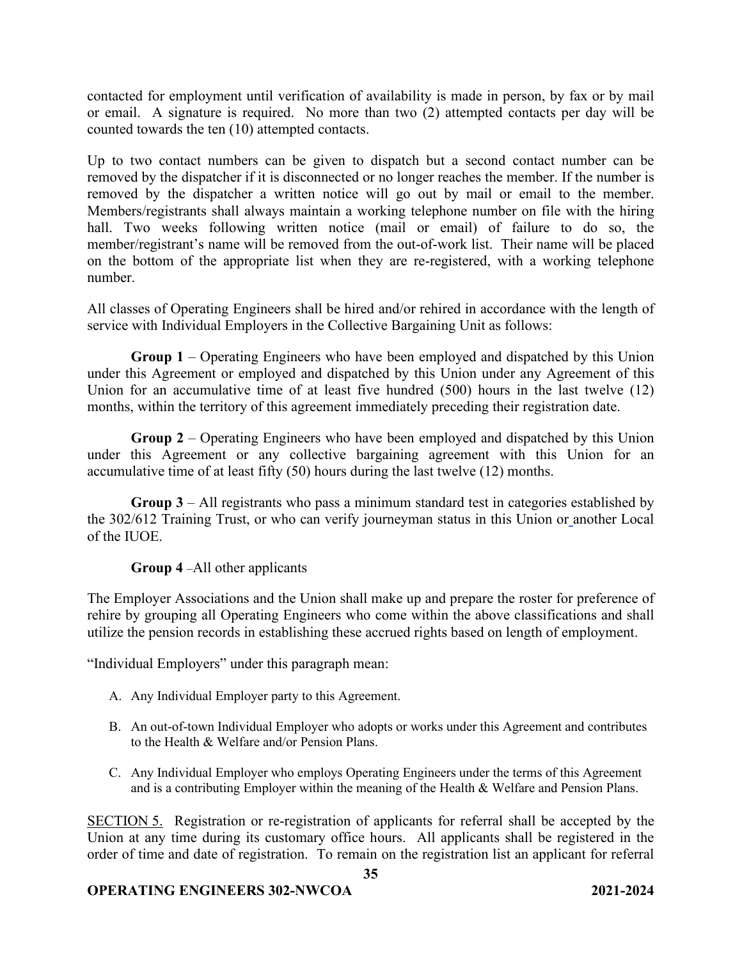contacted for employment until verification of availability is made in person, by fax or by mail or email. A signature is required. No more than two (2) attempted contacts per day will be counted towards the ten (10) attempted contacts.

Up to two contact numbers can be given to dispatch but a second contact number can be removed by the dispatcher if it is disconnected or no longer reaches the member. If the number is removed by the dispatcher a written notice will go out by mail or email to the member. Members/registrants shall always maintain a working telephone number on file with the hiring hall. Two weeks following written notice (mail or email) of failure to do so, the member/registrant's name will be removed from the out-of-work list. Their name will be placed on the bottom of the appropriate list when they are re-registered, with a working telephone number.

All classes of Operating Engineers shall be hired and/or rehired in accordance with the length of service with Individual Employers in the Collective Bargaining Unit as follows:

**Group 1** – Operating Engineers who have been employed and dispatched by this Union under this Agreement or employed and dispatched by this Union under any Agreement of this Union for an accumulative time of at least five hundred (500) hours in the last twelve (12) months, within the territory of this agreement immediately preceding their registration date.

**Group 2** – Operating Engineers who have been employed and dispatched by this Union under this Agreement or any collective bargaining agreement with this Union for an accumulative time of at least fifty (50) hours during the last twelve (12) months.

**Group 3** – All registrants who pass a minimum standard test in categories established by the 302/612 Training Trust, or who can verify journeyman status in this Union or another Local of the IUOE.

## **Group 4** –All other applicants

The Employer Associations and the Union shall make up and prepare the roster for preference of rehire by grouping all Operating Engineers who come within the above classifications and shall utilize the pension records in establishing these accrued rights based on length of employment.

"Individual Employers" under this paragraph mean:

- A. Any Individual Employer party to this Agreement.
- B. An out-of-town Individual Employer who adopts or works under this Agreement and contributes to the Health & Welfare and/or Pension Plans.
- C. Any Individual Employer who employs Operating Engineers under the terms of this Agreement and is a contributing Employer within the meaning of the Health & Welfare and Pension Plans.

SECTION 5. Registration or re-registration of applicants for referral shall be accepted by the Union at any time during its customary office hours. All applicants shall be registered in the order of time and date of registration. To remain on the registration list an applicant for referral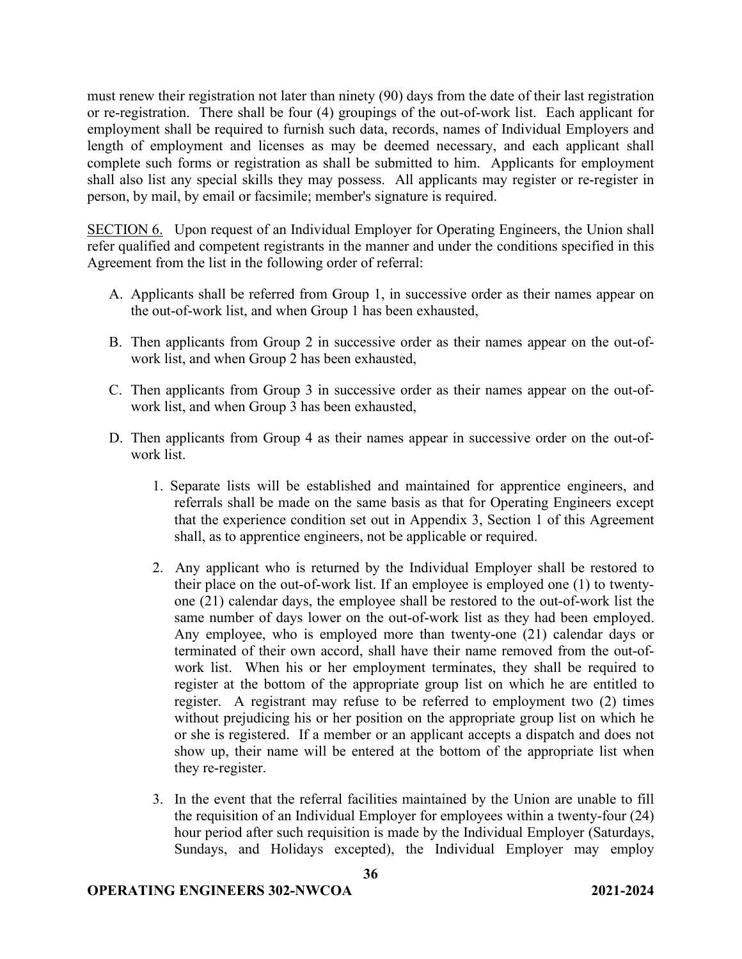must renew their registration not later than ninety (90) days from the date of their last registration or re-registration. There shall be four (4) groupings of the out-of-work list. Each applicant for employment shall be required to furnish such data, records, names of Individual Employers and length of employment and licenses as may be deemed necessary, and each applicant shall complete such forms or registration as shall be submitted to him. Applicants for employment shall also list any special skills they may possess. All applicants may register or re-register in person, by mail, by email or facsimile; member's signature is required.

SECTION 6. Upon request of an Individual Employer for Operating Engineers, the Union shall refer qualified and competent registrants in the manner and under the conditions specified in this Agreement from the list in the following order of referral:

- A. Applicants shall be referred from Group 1, in successive order as their names appear on the out-of-work list, and when Group 1 has been exhausted,
- B. Then applicants from Group 2 in successive order as their names appear on the out-ofwork list, and when Group 2 has been exhausted,
- C. Then applicants from Group 3 in successive order as their names appear on the out-ofwork list, and when Group 3 has been exhausted,
- D. Then applicants from Group 4 as their names appear in successive order on the out-ofwork list.
	- 1. Separate lists will be established and maintained for apprentice engineers, and referrals shall be made on the same basis as that for Operating Engineers except that the experience condition set out in Appendix 3, Section 1 of this Agreement shall, as to apprentice engineers, not be applicable or required.
	- 2. Any applicant who is returned by the Individual Employer shall be restored to their place on the out-of-work list. If an employee is employed one (1) to twentyone (21) calendar days, the employee shall be restored to the out-of-work list the same number of days lower on the out-of-work list as they had been employed. Any employee, who is employed more than twenty-one (21) calendar days or terminated of their own accord, shall have their name removed from the out-ofwork list. When his or her employment terminates, they shall be required to register at the bottom of the appropriate group list on which he are entitled to register. A registrant may refuse to be referred to employment two (2) times without prejudicing his or her position on the appropriate group list on which he or she is registered. If a member or an applicant accepts a dispatch and does not show up, their name will be entered at the bottom of the appropriate list when they re-register.
	- 3. In the event that the referral facilities maintained by the Union are unable to fill the requisition of an Individual Employer for employees within a twenty-four (24) hour period after such requisition is made by the Individual Employer (Saturdays, Sundays, and Holidays excepted), the Individual Employer may employ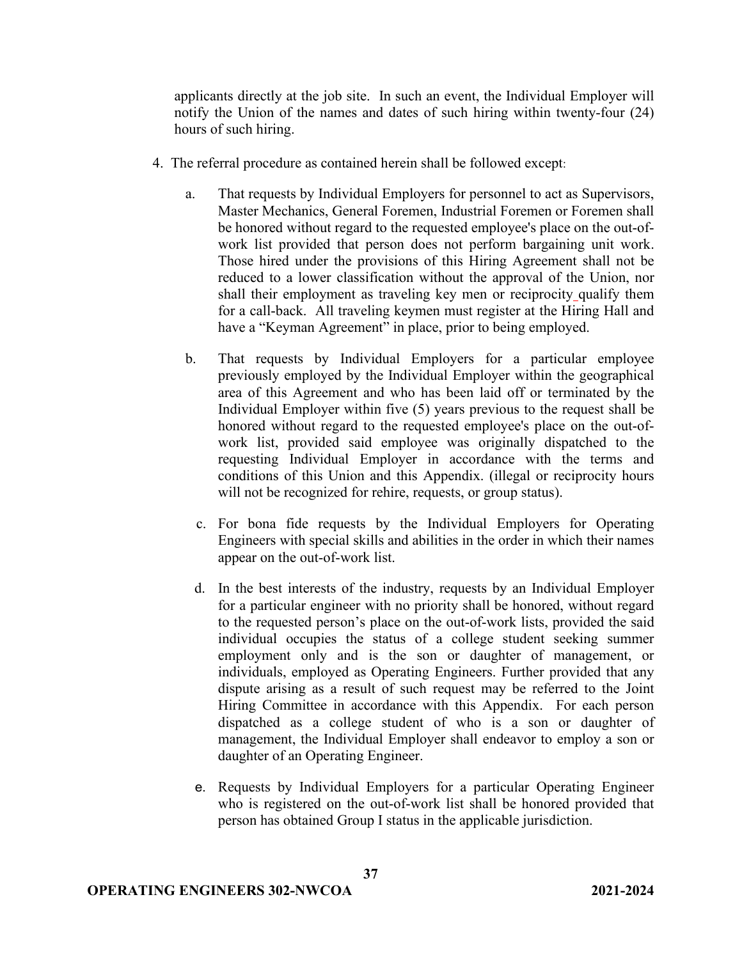applicants directly at the job site. In such an event, the Individual Employer will notify the Union of the names and dates of such hiring within twenty-four (24) hours of such hiring.

- 4. The referral procedure as contained herein shall be followed except:
	- a. That requests by Individual Employers for personnel to act as Supervisors, Master Mechanics, General Foremen, Industrial Foremen or Foremen shall be honored without regard to the requested employee's place on the out-ofwork list provided that person does not perform bargaining unit work. Those hired under the provisions of this Hiring Agreement shall not be reduced to a lower classification without the approval of the Union, nor shall their employment as traveling key men or reciprocity qualify them for a call-back. All traveling keymen must register at the Hiring Hall and have a "Keyman Agreement" in place, prior to being employed.
	- b. That requests by Individual Employers for a particular employee previously employed by the Individual Employer within the geographical area of this Agreement and who has been laid off or terminated by the Individual Employer within five (5) years previous to the request shall be honored without regard to the requested employee's place on the out-ofwork list, provided said employee was originally dispatched to the requesting Individual Employer in accordance with the terms and conditions of this Union and this Appendix. (illegal or reciprocity hours will not be recognized for rehire, requests, or group status).
		- c. For bona fide requests by the Individual Employers for Operating Engineers with special skills and abilities in the order in which their names appear on the out-of-work list.
		- d. In the best interests of the industry, requests by an Individual Employer for a particular engineer with no priority shall be honored, without regard to the requested person's place on the out-of-work lists, provided the said individual occupies the status of a college student seeking summer employment only and is the son or daughter of management, or individuals, employed as Operating Engineers. Further provided that any dispute arising as a result of such request may be referred to the Joint Hiring Committee in accordance with this Appendix. For each person dispatched as a college student of who is a son or daughter of management, the Individual Employer shall endeavor to employ a son or daughter of an Operating Engineer.
		- e. Requests by Individual Employers for a particular Operating Engineer who is registered on the out-of-work list shall be honored provided that person has obtained Group I status in the applicable jurisdiction.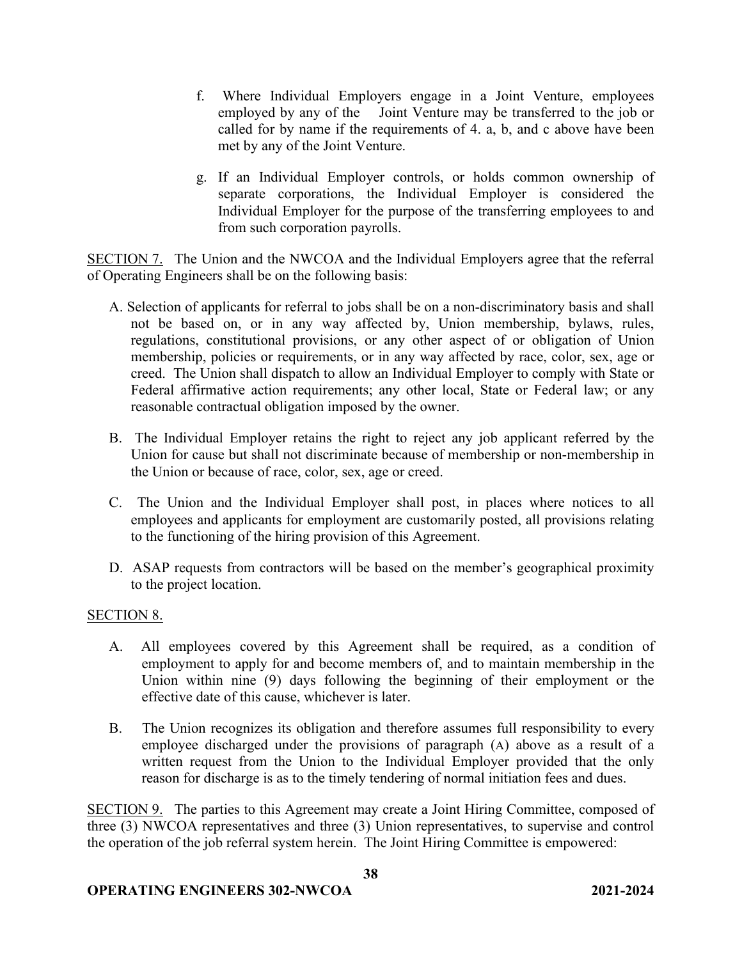- f. Where Individual Employers engage in a Joint Venture, employees employed by any of the Joint Venture may be transferred to the job or called for by name if the requirements of 4. a, b, and c above have been met by any of the Joint Venture.
- g. If an Individual Employer controls, or holds common ownership of separate corporations, the Individual Employer is considered the Individual Employer for the purpose of the transferring employees to and from such corporation payrolls.

SECTION 7. The Union and the NWCOA and the Individual Employers agree that the referral of Operating Engineers shall be on the following basis:

- A. Selection of applicants for referral to jobs shall be on a non-discriminatory basis and shall not be based on, or in any way affected by, Union membership, bylaws, rules, regulations, constitutional provisions, or any other aspect of or obligation of Union membership, policies or requirements, or in any way affected by race, color, sex, age or creed. The Union shall dispatch to allow an Individual Employer to comply with State or Federal affirmative action requirements; any other local, State or Federal law; or any reasonable contractual obligation imposed by the owner.
- B. The Individual Employer retains the right to reject any job applicant referred by the Union for cause but shall not discriminate because of membership or non-membership in the Union or because of race, color, sex, age or creed.
- C. The Union and the Individual Employer shall post, in places where notices to all employees and applicants for employment are customarily posted, all provisions relating to the functioning of the hiring provision of this Agreement.
- D. ASAP requests from contractors will be based on the member's geographical proximity to the project location.

## SECTION 8.

- A. All employees covered by this Agreement shall be required, as a condition of employment to apply for and become members of, and to maintain membership in the Union within nine (9) days following the beginning of their employment or the effective date of this cause, whichever is later.
- B. The Union recognizes its obligation and therefore assumes full responsibility to every employee discharged under the provisions of paragraph (A) above as a result of a written request from the Union to the Individual Employer provided that the only reason for discharge is as to the timely tendering of normal initiation fees and dues.

SECTION 9. The parties to this Agreement may create a Joint Hiring Committee, composed of three (3) NWCOA representatives and three (3) Union representatives, to supervise and control the operation of the job referral system herein. The Joint Hiring Committee is empowered: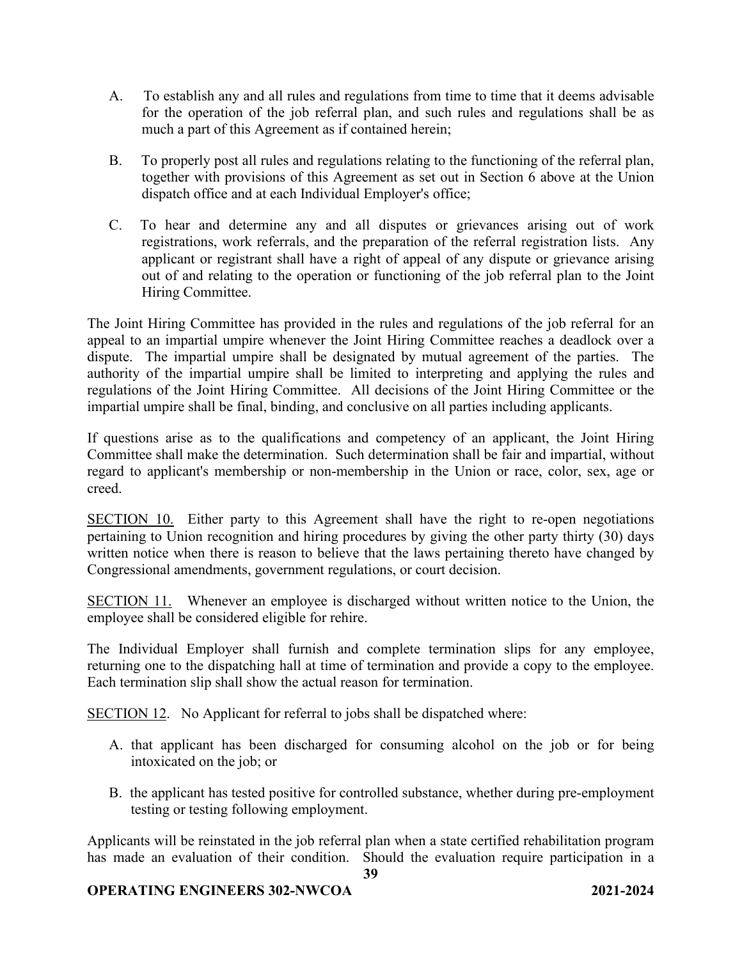- A. To establish any and all rules and regulations from time to time that it deems advisable for the operation of the job referral plan, and such rules and regulations shall be as much a part of this Agreement as if contained herein;
- B. To properly post all rules and regulations relating to the functioning of the referral plan, together with provisions of this Agreement as set out in Section 6 above at the Union dispatch office and at each Individual Employer's office;
- C. To hear and determine any and all disputes or grievances arising out of work registrations, work referrals, and the preparation of the referral registration lists. Any applicant or registrant shall have a right of appeal of any dispute or grievance arising out of and relating to the operation or functioning of the job referral plan to the Joint Hiring Committee.

The Joint Hiring Committee has provided in the rules and regulations of the job referral for an appeal to an impartial umpire whenever the Joint Hiring Committee reaches a deadlock over a dispute. The impartial umpire shall be designated by mutual agreement of the parties. The authority of the impartial umpire shall be limited to interpreting and applying the rules and regulations of the Joint Hiring Committee. All decisions of the Joint Hiring Committee or the impartial umpire shall be final, binding, and conclusive on all parties including applicants.

If questions arise as to the qualifications and competency of an applicant, the Joint Hiring Committee shall make the determination. Such determination shall be fair and impartial, without regard to applicant's membership or non-membership in the Union or race, color, sex, age or creed.

SECTION 10.Either party to this Agreement shall have the right to re-open negotiations pertaining to Union recognition and hiring procedures by giving the other party thirty (30) days written notice when there is reason to believe that the laws pertaining thereto have changed by Congressional amendments, government regulations, or court decision.

SECTION 11.Whenever an employee is discharged without written notice to the Union, the employee shall be considered eligible for rehire.

The Individual Employer shall furnish and complete termination slips for any employee, returning one to the dispatching hall at time of termination and provide a copy to the employee. Each termination slip shall show the actual reason for termination.

SECTION 12. No Applicant for referral to jobs shall be dispatched where:

- A. that applicant has been discharged for consuming alcohol on the job or for being intoxicated on the job; or
- B. the applicant has tested positive for controlled substance, whether during pre-employment testing or testing following employment.

Applicants will be reinstated in the job referral plan when a state certified rehabilitation program has made an evaluation of their condition. Should the evaluation require participation in a

**39**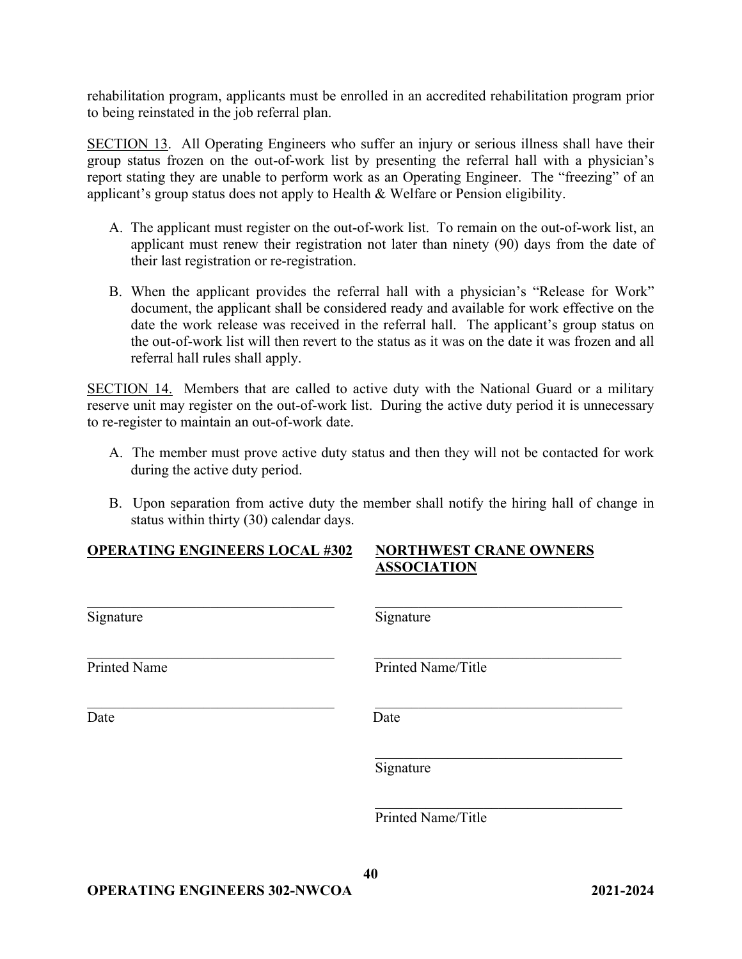rehabilitation program, applicants must be enrolled in an accredited rehabilitation program prior to being reinstated in the job referral plan.

SECTION 13. All Operating Engineers who suffer an injury or serious illness shall have their group status frozen on the out-of-work list by presenting the referral hall with a physician's report stating they are unable to perform work as an Operating Engineer. The "freezing" of an applicant's group status does not apply to Health & Welfare or Pension eligibility.

- A. The applicant must register on the out-of-work list. To remain on the out-of-work list, an applicant must renew their registration not later than ninety (90) days from the date of their last registration or re-registration.
- B. When the applicant provides the referral hall with a physician's "Release for Work" document, the applicant shall be considered ready and available for work effective on the date the work release was received in the referral hall. The applicant's group status on the out-of-work list will then revert to the status as it was on the date it was frozen and all referral hall rules shall apply.

SECTION 14. Members that are called to active duty with the National Guard or a military reserve unit may register on the out-of-work list. During the active duty period it is unnecessary to re-register to maintain an out-of-work date.

- A. The member must prove active duty status and then they will not be contacted for work during the active duty period.
- B. Upon separation from active duty the member shall notify the hiring hall of change in status within thirty (30) calendar days.

|--|

## **NORTHWEST CRANE OWNERS ASSOCIATION**

| Signature           | Signature          |
|---------------------|--------------------|
| <b>Printed Name</b> | Printed Name/Title |
| Date                | Date               |
|                     | Signature          |
|                     | Printed Name/Title |